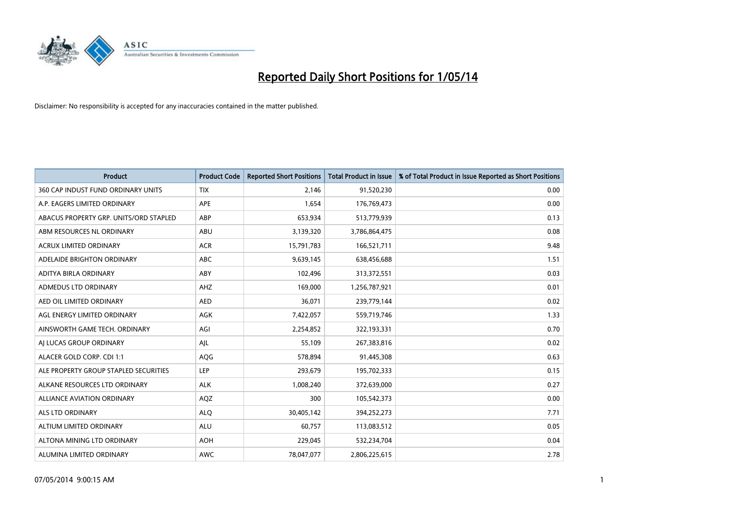

| <b>Product</b>                         | <b>Product Code</b> | <b>Reported Short Positions</b> | <b>Total Product in Issue</b> | % of Total Product in Issue Reported as Short Positions |
|----------------------------------------|---------------------|---------------------------------|-------------------------------|---------------------------------------------------------|
| 360 CAP INDUST FUND ORDINARY UNITS     | <b>TIX</b>          | 2,146                           | 91,520,230                    | 0.00                                                    |
| A.P. EAGERS LIMITED ORDINARY           | APE                 | 1,654                           | 176,769,473                   | 0.00                                                    |
| ABACUS PROPERTY GRP. UNITS/ORD STAPLED | ABP                 | 653,934                         | 513,779,939                   | 0.13                                                    |
| ABM RESOURCES NL ORDINARY              | ABU                 | 3,139,320                       | 3,786,864,475                 | 0.08                                                    |
| <b>ACRUX LIMITED ORDINARY</b>          | <b>ACR</b>          | 15,791,783                      | 166,521,711                   | 9.48                                                    |
| ADELAIDE BRIGHTON ORDINARY             | <b>ABC</b>          | 9,639,145                       | 638,456,688                   | 1.51                                                    |
| ADITYA BIRLA ORDINARY                  | ABY                 | 102,496                         | 313,372,551                   | 0.03                                                    |
| ADMEDUS LTD ORDINARY                   | AHZ                 | 169,000                         | 1,256,787,921                 | 0.01                                                    |
| AED OIL LIMITED ORDINARY               | <b>AED</b>          | 36,071                          | 239,779,144                   | 0.02                                                    |
| AGL ENERGY LIMITED ORDINARY            | <b>AGK</b>          | 7,422,057                       | 559,719,746                   | 1.33                                                    |
| AINSWORTH GAME TECH. ORDINARY          | AGI                 | 2,254,852                       | 322,193,331                   | 0.70                                                    |
| AI LUCAS GROUP ORDINARY                | AJL                 | 55,109                          | 267,383,816                   | 0.02                                                    |
| ALACER GOLD CORP. CDI 1:1              | AQG                 | 578,894                         | 91,445,308                    | 0.63                                                    |
| ALE PROPERTY GROUP STAPLED SECURITIES  | LEP                 | 293,679                         | 195,702,333                   | 0.15                                                    |
| ALKANE RESOURCES LTD ORDINARY          | <b>ALK</b>          | 1,008,240                       | 372,639,000                   | 0.27                                                    |
| ALLIANCE AVIATION ORDINARY             | AQZ                 | 300                             | 105,542,373                   | 0.00                                                    |
| ALS LTD ORDINARY                       | <b>ALQ</b>          | 30,405,142                      | 394,252,273                   | 7.71                                                    |
| ALTIUM LIMITED ORDINARY                | ALU                 | 60,757                          | 113,083,512                   | 0.05                                                    |
| ALTONA MINING LTD ORDINARY             | <b>AOH</b>          | 229,045                         | 532,234,704                   | 0.04                                                    |
| ALUMINA LIMITED ORDINARY               | <b>AWC</b>          | 78,047,077                      | 2,806,225,615                 | 2.78                                                    |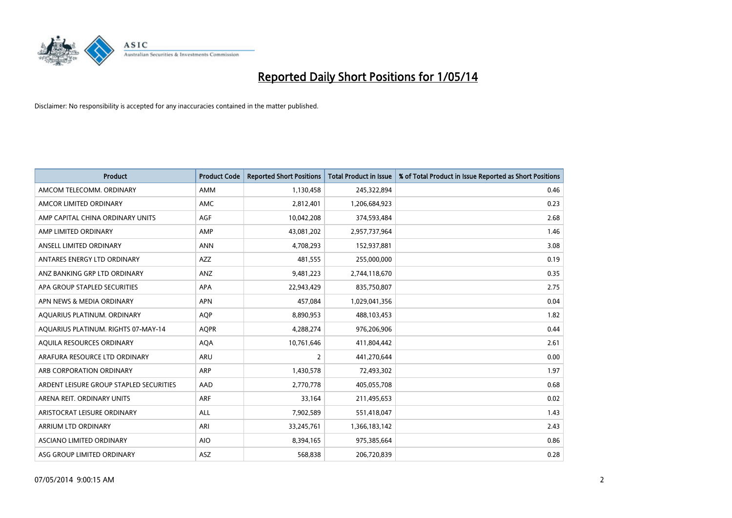

| <b>Product</b>                          | <b>Product Code</b> | <b>Reported Short Positions</b> | <b>Total Product in Issue</b> | % of Total Product in Issue Reported as Short Positions |
|-----------------------------------------|---------------------|---------------------------------|-------------------------------|---------------------------------------------------------|
| AMCOM TELECOMM, ORDINARY                | <b>AMM</b>          | 1,130,458                       | 245,322,894                   | 0.46                                                    |
| AMCOR LIMITED ORDINARY                  | AMC                 | 2,812,401                       | 1,206,684,923                 | 0.23                                                    |
| AMP CAPITAL CHINA ORDINARY UNITS        | AGF                 | 10,042,208                      | 374,593,484                   | 2.68                                                    |
| AMP LIMITED ORDINARY                    | AMP                 | 43,081,202                      | 2,957,737,964                 | 1.46                                                    |
| ANSELL LIMITED ORDINARY                 | <b>ANN</b>          | 4,708,293                       | 152,937,881                   | 3.08                                                    |
| ANTARES ENERGY LTD ORDINARY             | <b>AZZ</b>          | 481,555                         | 255,000,000                   | 0.19                                                    |
| ANZ BANKING GRP LTD ORDINARY            | ANZ                 | 9,481,223                       | 2,744,118,670                 | 0.35                                                    |
| APA GROUP STAPLED SECURITIES            | APA                 | 22,943,429                      | 835,750,807                   | 2.75                                                    |
| APN NEWS & MEDIA ORDINARY               | <b>APN</b>          | 457,084                         | 1,029,041,356                 | 0.04                                                    |
| AQUARIUS PLATINUM. ORDINARY             | <b>AOP</b>          | 8,890,953                       | 488,103,453                   | 1.82                                                    |
| AQUARIUS PLATINUM. RIGHTS 07-MAY-14     | <b>AQPR</b>         | 4,288,274                       | 976,206,906                   | 0.44                                                    |
| AQUILA RESOURCES ORDINARY               | <b>AQA</b>          | 10,761,646                      | 411,804,442                   | 2.61                                                    |
| ARAFURA RESOURCE LTD ORDINARY           | ARU                 | $\overline{2}$                  | 441,270,644                   | 0.00                                                    |
| ARB CORPORATION ORDINARY                | ARP                 | 1,430,578                       | 72,493,302                    | 1.97                                                    |
| ARDENT LEISURE GROUP STAPLED SECURITIES | AAD                 | 2,770,778                       | 405,055,708                   | 0.68                                                    |
| ARENA REIT. ORDINARY UNITS              | ARF                 | 33,164                          | 211,495,653                   | 0.02                                                    |
| ARISTOCRAT LEISURE ORDINARY             | ALL                 | 7,902,589                       | 551,418,047                   | 1.43                                                    |
| ARRIUM LTD ORDINARY                     | ARI                 | 33,245,761                      | 1,366,183,142                 | 2.43                                                    |
| ASCIANO LIMITED ORDINARY                | <b>AIO</b>          | 8,394,165                       | 975,385,664                   | 0.86                                                    |
| ASG GROUP LIMITED ORDINARY              | ASZ                 | 568,838                         | 206,720,839                   | 0.28                                                    |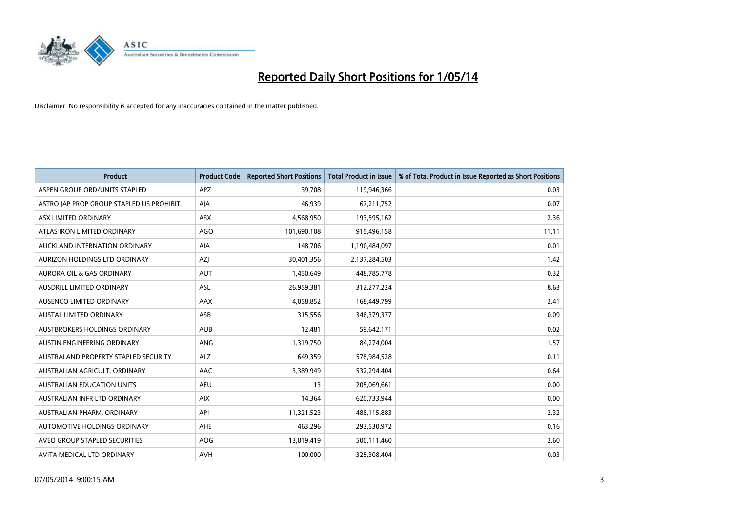

| <b>Product</b>                            | <b>Product Code</b> | <b>Reported Short Positions</b> | <b>Total Product in Issue</b> | % of Total Product in Issue Reported as Short Positions |
|-------------------------------------------|---------------------|---------------------------------|-------------------------------|---------------------------------------------------------|
| ASPEN GROUP ORD/UNITS STAPLED             | APZ                 | 39,708                          | 119,946,366                   | 0.03                                                    |
| ASTRO JAP PROP GROUP STAPLED US PROHIBIT. | AJA                 | 46,939                          | 67,211,752                    | 0.07                                                    |
| ASX LIMITED ORDINARY                      | ASX                 | 4,568,950                       | 193,595,162                   | 2.36                                                    |
| ATLAS IRON LIMITED ORDINARY               | <b>AGO</b>          | 101,690,108                     | 915,496,158                   | 11.11                                                   |
| AUCKLAND INTERNATION ORDINARY             | AIA                 | 148,706                         | 1,190,484,097                 | 0.01                                                    |
| AURIZON HOLDINGS LTD ORDINARY             | AZJ                 | 30,401,356                      | 2,137,284,503                 | 1.42                                                    |
| AURORA OIL & GAS ORDINARY                 | <b>AUT</b>          | 1,450,649                       | 448,785,778                   | 0.32                                                    |
| AUSDRILL LIMITED ORDINARY                 | ASL                 | 26,959,381                      | 312,277,224                   | 8.63                                                    |
| AUSENCO LIMITED ORDINARY                  | AAX                 | 4,058,852                       | 168,449,799                   | 2.41                                                    |
| AUSTAL LIMITED ORDINARY                   | ASB                 | 315,556                         | 346,379,377                   | 0.09                                                    |
| AUSTBROKERS HOLDINGS ORDINARY             | <b>AUB</b>          | 12,481                          | 59,642,171                    | 0.02                                                    |
| AUSTIN ENGINEERING ORDINARY               | <b>ANG</b>          | 1,319,750                       | 84,274,004                    | 1.57                                                    |
| AUSTRALAND PROPERTY STAPLED SECURITY      | <b>ALZ</b>          | 649,359                         | 578,984,528                   | 0.11                                                    |
| AUSTRALIAN AGRICULT, ORDINARY             | AAC                 | 3,389,949                       | 532,294,404                   | 0.64                                                    |
| <b>AUSTRALIAN EDUCATION UNITS</b>         | <b>AEU</b>          | 13                              | 205,069,661                   | 0.00                                                    |
| AUSTRALIAN INFR LTD ORDINARY              | <b>AIX</b>          | 14,364                          | 620,733,944                   | 0.00                                                    |
| AUSTRALIAN PHARM, ORDINARY                | API                 | 11,321,523                      | 488,115,883                   | 2.32                                                    |
| AUTOMOTIVE HOLDINGS ORDINARY              | AHE                 | 463,296                         | 293,530,972                   | 0.16                                                    |
| AVEO GROUP STAPLED SECURITIES             | AOG                 | 13,019,419                      | 500,111,460                   | 2.60                                                    |
| AVITA MEDICAL LTD ORDINARY                | <b>AVH</b>          | 100,000                         | 325,308,404                   | 0.03                                                    |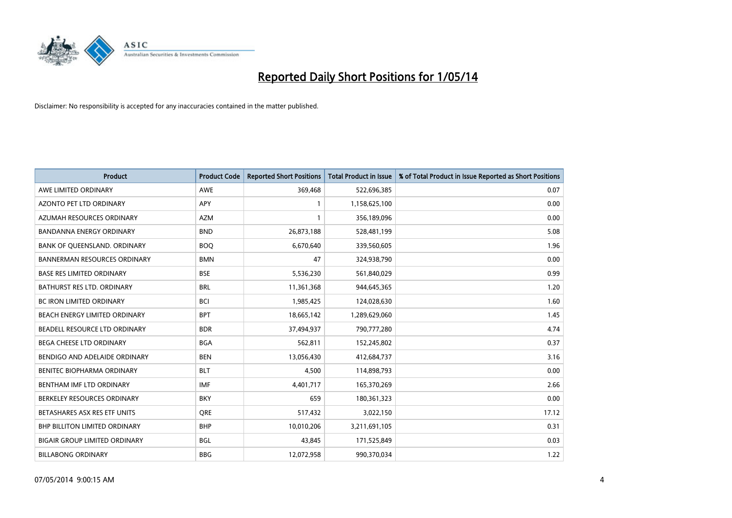

| <b>Product</b>                       | <b>Product Code</b> | <b>Reported Short Positions</b> | <b>Total Product in Issue</b> | % of Total Product in Issue Reported as Short Positions |
|--------------------------------------|---------------------|---------------------------------|-------------------------------|---------------------------------------------------------|
| AWE LIMITED ORDINARY                 | <b>AWE</b>          | 369,468                         | 522,696,385                   | 0.07                                                    |
| AZONTO PET LTD ORDINARY              | APY                 | 1                               | 1,158,625,100                 | 0.00                                                    |
| AZUMAH RESOURCES ORDINARY            | <b>AZM</b>          | 1                               | 356,189,096                   | 0.00                                                    |
| <b>BANDANNA ENERGY ORDINARY</b>      | <b>BND</b>          | 26,873,188                      | 528,481,199                   | 5.08                                                    |
| BANK OF QUEENSLAND. ORDINARY         | <b>BOQ</b>          | 6,670,640                       | 339,560,605                   | 1.96                                                    |
| <b>BANNERMAN RESOURCES ORDINARY</b>  | <b>BMN</b>          | 47                              | 324,938,790                   | 0.00                                                    |
| <b>BASE RES LIMITED ORDINARY</b>     | <b>BSE</b>          | 5,536,230                       | 561,840,029                   | 0.99                                                    |
| BATHURST RES LTD. ORDINARY           | <b>BRL</b>          | 11,361,368                      | 944,645,365                   | 1.20                                                    |
| BC IRON LIMITED ORDINARY             | <b>BCI</b>          | 1,985,425                       | 124,028,630                   | 1.60                                                    |
| BEACH ENERGY LIMITED ORDINARY        | <b>BPT</b>          | 18,665,142                      | 1,289,629,060                 | 1.45                                                    |
| BEADELL RESOURCE LTD ORDINARY        | <b>BDR</b>          | 37,494,937                      | 790,777,280                   | 4.74                                                    |
| BEGA CHEESE LTD ORDINARY             | <b>BGA</b>          | 562,811                         | 152,245,802                   | 0.37                                                    |
| BENDIGO AND ADELAIDE ORDINARY        | <b>BEN</b>          | 13,056,430                      | 412,684,737                   | 3.16                                                    |
| BENITEC BIOPHARMA ORDINARY           | <b>BLT</b>          | 4,500                           | 114,898,793                   | 0.00                                                    |
| BENTHAM IMF LTD ORDINARY             | <b>IMF</b>          | 4,401,717                       | 165,370,269                   | 2.66                                                    |
| BERKELEY RESOURCES ORDINARY          | <b>BKY</b>          | 659                             | 180,361,323                   | 0.00                                                    |
| BETASHARES ASX RES ETF UNITS         | <b>ORE</b>          | 517,432                         | 3,022,150                     | 17.12                                                   |
| <b>BHP BILLITON LIMITED ORDINARY</b> | <b>BHP</b>          | 10,010,206                      | 3,211,691,105                 | 0.31                                                    |
| <b>BIGAIR GROUP LIMITED ORDINARY</b> | <b>BGL</b>          | 43,845                          | 171,525,849                   | 0.03                                                    |
| <b>BILLABONG ORDINARY</b>            | <b>BBG</b>          | 12,072,958                      | 990,370,034                   | 1.22                                                    |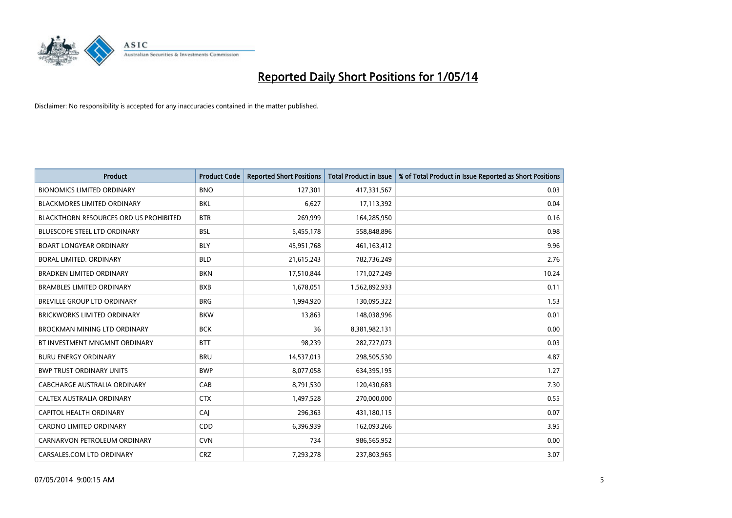

| <b>Product</b>                         | <b>Product Code</b> | <b>Reported Short Positions</b> | <b>Total Product in Issue</b> | % of Total Product in Issue Reported as Short Positions |
|----------------------------------------|---------------------|---------------------------------|-------------------------------|---------------------------------------------------------|
| <b>BIONOMICS LIMITED ORDINARY</b>      | <b>BNO</b>          | 127,301                         | 417,331,567                   | 0.03                                                    |
| <b>BLACKMORES LIMITED ORDINARY</b>     | <b>BKL</b>          | 6,627                           | 17,113,392                    | 0.04                                                    |
| BLACKTHORN RESOURCES ORD US PROHIBITED | <b>BTR</b>          | 269,999                         | 164,285,950                   | 0.16                                                    |
| <b>BLUESCOPE STEEL LTD ORDINARY</b>    | <b>BSL</b>          | 5,455,178                       | 558,848,896                   | 0.98                                                    |
| <b>BOART LONGYEAR ORDINARY</b>         | <b>BLY</b>          | 45,951,768                      | 461,163,412                   | 9.96                                                    |
| BORAL LIMITED. ORDINARY                | <b>BLD</b>          | 21,615,243                      | 782,736,249                   | 2.76                                                    |
| <b>BRADKEN LIMITED ORDINARY</b>        | <b>BKN</b>          | 17,510,844                      | 171,027,249                   | 10.24                                                   |
| <b>BRAMBLES LIMITED ORDINARY</b>       | <b>BXB</b>          | 1,678,051                       | 1,562,892,933                 | 0.11                                                    |
| BREVILLE GROUP LTD ORDINARY            | <b>BRG</b>          | 1,994,920                       | 130,095,322                   | 1.53                                                    |
| <b>BRICKWORKS LIMITED ORDINARY</b>     | <b>BKW</b>          | 13,863                          | 148,038,996                   | 0.01                                                    |
| <b>BROCKMAN MINING LTD ORDINARY</b>    | <b>BCK</b>          | 36                              | 8,381,982,131                 | 0.00                                                    |
| BT INVESTMENT MNGMNT ORDINARY          | <b>BTT</b>          | 98,239                          | 282,727,073                   | 0.03                                                    |
| <b>BURU ENERGY ORDINARY</b>            | <b>BRU</b>          | 14,537,013                      | 298,505,530                   | 4.87                                                    |
| <b>BWP TRUST ORDINARY UNITS</b>        | <b>BWP</b>          | 8,077,058                       | 634,395,195                   | 1.27                                                    |
| <b>CABCHARGE AUSTRALIA ORDINARY</b>    | CAB                 | 8,791,530                       | 120,430,683                   | 7.30                                                    |
| CALTEX AUSTRALIA ORDINARY              | <b>CTX</b>          | 1,497,528                       | 270,000,000                   | 0.55                                                    |
| <b>CAPITOL HEALTH ORDINARY</b>         | CAJ                 | 296,363                         | 431,180,115                   | 0.07                                                    |
| CARDNO LIMITED ORDINARY                | CDD                 | 6,396,939                       | 162,093,266                   | 3.95                                                    |
| CARNARVON PETROLEUM ORDINARY           | <b>CVN</b>          | 734                             | 986,565,952                   | 0.00                                                    |
| CARSALES.COM LTD ORDINARY              | <b>CRZ</b>          | 7,293,278                       | 237,803,965                   | 3.07                                                    |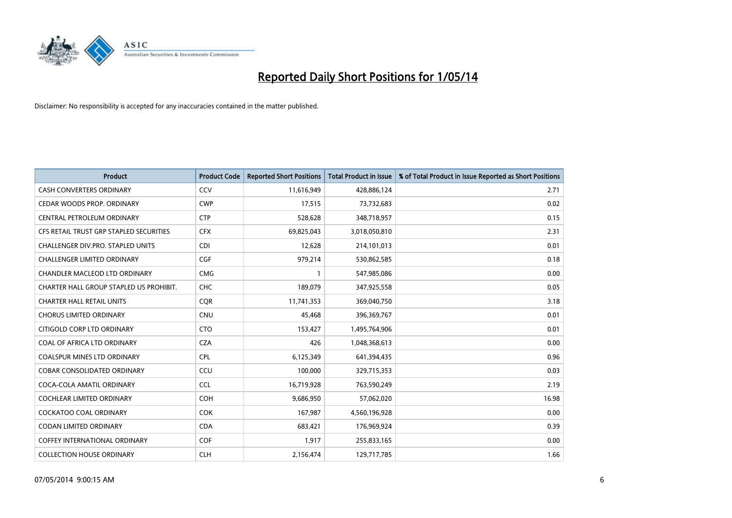

| <b>Product</b>                          | <b>Product Code</b> | <b>Reported Short Positions</b> | <b>Total Product in Issue</b> | % of Total Product in Issue Reported as Short Positions |
|-----------------------------------------|---------------------|---------------------------------|-------------------------------|---------------------------------------------------------|
| <b>CASH CONVERTERS ORDINARY</b>         | CCV                 | 11,616,949                      | 428,886,124                   | 2.71                                                    |
| CEDAR WOODS PROP. ORDINARY              | <b>CWP</b>          | 17,515                          | 73,732,683                    | 0.02                                                    |
| CENTRAL PETROLEUM ORDINARY              | <b>CTP</b>          | 528,628                         | 348,718,957                   | 0.15                                                    |
| CFS RETAIL TRUST GRP STAPLED SECURITIES | <b>CFX</b>          | 69,825,043                      | 3,018,050,810                 | 2.31                                                    |
| CHALLENGER DIV.PRO. STAPLED UNITS       | <b>CDI</b>          | 12,628                          | 214,101,013                   | 0.01                                                    |
| <b>CHALLENGER LIMITED ORDINARY</b>      | <b>CGF</b>          | 979,214                         | 530,862,585                   | 0.18                                                    |
| CHANDLER MACLEOD LTD ORDINARY           | <b>CMG</b>          | $\mathbf{1}$                    | 547,985,086                   | 0.00                                                    |
| CHARTER HALL GROUP STAPLED US PROHIBIT. | <b>CHC</b>          | 189,079                         | 347,925,558                   | 0.05                                                    |
| <b>CHARTER HALL RETAIL UNITS</b>        | <b>COR</b>          | 11,741,353                      | 369,040,750                   | 3.18                                                    |
| <b>CHORUS LIMITED ORDINARY</b>          | CNU                 | 45,468                          | 396,369,767                   | 0.01                                                    |
| CITIGOLD CORP LTD ORDINARY              | <b>CTO</b>          | 153,427                         | 1,495,764,906                 | 0.01                                                    |
| COAL OF AFRICA LTD ORDINARY             | <b>CZA</b>          | 426                             | 1,048,368,613                 | 0.00                                                    |
| COALSPUR MINES LTD ORDINARY             | <b>CPL</b>          | 6,125,349                       | 641,394,435                   | 0.96                                                    |
| <b>COBAR CONSOLIDATED ORDINARY</b>      | CCU                 | 100,000                         | 329,715,353                   | 0.03                                                    |
| COCA-COLA AMATIL ORDINARY               | <b>CCL</b>          | 16,719,928                      | 763,590,249                   | 2.19                                                    |
| <b>COCHLEAR LIMITED ORDINARY</b>        | <b>COH</b>          | 9,686,950                       | 57,062,020                    | 16.98                                                   |
| <b>COCKATOO COAL ORDINARY</b>           | <b>COK</b>          | 167,987                         | 4,560,196,928                 | 0.00                                                    |
| CODAN LIMITED ORDINARY                  | <b>CDA</b>          | 683,421                         | 176,969,924                   | 0.39                                                    |
| <b>COFFEY INTERNATIONAL ORDINARY</b>    | COF                 | 1,917                           | 255,833,165                   | 0.00                                                    |
| <b>COLLECTION HOUSE ORDINARY</b>        | <b>CLH</b>          | 2,156,474                       | 129,717,785                   | 1.66                                                    |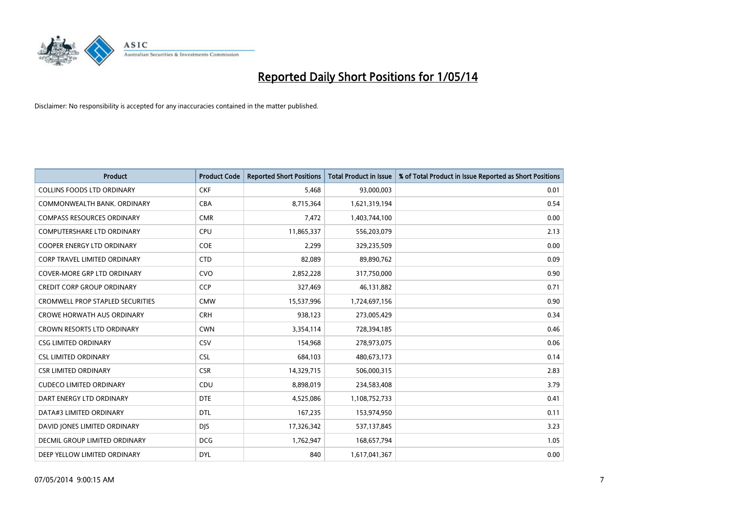

| <b>Product</b>                          | <b>Product Code</b> | <b>Reported Short Positions</b> | <b>Total Product in Issue</b> | % of Total Product in Issue Reported as Short Positions |
|-----------------------------------------|---------------------|---------------------------------|-------------------------------|---------------------------------------------------------|
| <b>COLLINS FOODS LTD ORDINARY</b>       | <b>CKF</b>          | 5,468                           | 93,000,003                    | 0.01                                                    |
| COMMONWEALTH BANK, ORDINARY             | <b>CBA</b>          | 8,715,364                       | 1,621,319,194                 | 0.54                                                    |
| <b>COMPASS RESOURCES ORDINARY</b>       | <b>CMR</b>          | 7,472                           | 1,403,744,100                 | 0.00                                                    |
| COMPUTERSHARE LTD ORDINARY              | <b>CPU</b>          | 11,865,337                      | 556,203,079                   | 2.13                                                    |
| <b>COOPER ENERGY LTD ORDINARY</b>       | <b>COE</b>          | 2,299                           | 329,235,509                   | 0.00                                                    |
| CORP TRAVEL LIMITED ORDINARY            | <b>CTD</b>          | 82,089                          | 89,890,762                    | 0.09                                                    |
| <b>COVER-MORE GRP LTD ORDINARY</b>      | <b>CVO</b>          | 2,852,228                       | 317,750,000                   | 0.90                                                    |
| <b>CREDIT CORP GROUP ORDINARY</b>       | <b>CCP</b>          | 327,469                         | 46,131,882                    | 0.71                                                    |
| <b>CROMWELL PROP STAPLED SECURITIES</b> | <b>CMW</b>          | 15,537,996                      | 1,724,697,156                 | 0.90                                                    |
| <b>CROWE HORWATH AUS ORDINARY</b>       | <b>CRH</b>          | 938,123                         | 273,005,429                   | 0.34                                                    |
| <b>CROWN RESORTS LTD ORDINARY</b>       | <b>CWN</b>          | 3,354,114                       | 728,394,185                   | 0.46                                                    |
| <b>CSG LIMITED ORDINARY</b>             | CSV                 | 154,968                         | 278,973,075                   | 0.06                                                    |
| <b>CSL LIMITED ORDINARY</b>             | <b>CSL</b>          | 684,103                         | 480,673,173                   | 0.14                                                    |
| <b>CSR LIMITED ORDINARY</b>             | <b>CSR</b>          | 14,329,715                      | 506,000,315                   | 2.83                                                    |
| <b>CUDECO LIMITED ORDINARY</b>          | CDU                 | 8,898,019                       | 234,583,408                   | 3.79                                                    |
| DART ENERGY LTD ORDINARY                | <b>DTE</b>          | 4,525,086                       | 1,108,752,733                 | 0.41                                                    |
| DATA#3 LIMITED ORDINARY                 | <b>DTL</b>          | 167,235                         | 153,974,950                   | 0.11                                                    |
| DAVID JONES LIMITED ORDINARY            | <b>DJS</b>          | 17,326,342                      | 537,137,845                   | 3.23                                                    |
| <b>DECMIL GROUP LIMITED ORDINARY</b>    | <b>DCG</b>          | 1,762,947                       | 168,657,794                   | 1.05                                                    |
| DEEP YELLOW LIMITED ORDINARY            | <b>DYL</b>          | 840                             | 1,617,041,367                 | 0.00                                                    |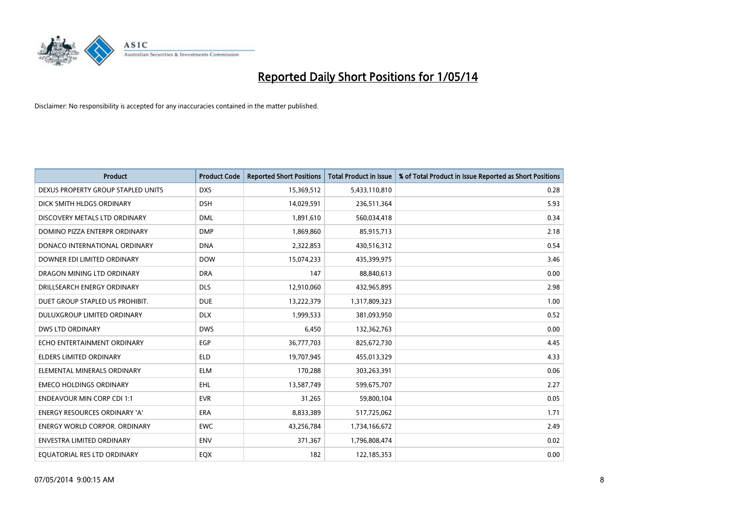

| <b>Product</b>                       | <b>Product Code</b> | <b>Reported Short Positions</b> | <b>Total Product in Issue</b> | % of Total Product in Issue Reported as Short Positions |
|--------------------------------------|---------------------|---------------------------------|-------------------------------|---------------------------------------------------------|
| DEXUS PROPERTY GROUP STAPLED UNITS   | <b>DXS</b>          | 15,369,512                      | 5,433,110,810                 | 0.28                                                    |
| DICK SMITH HLDGS ORDINARY            | <b>DSH</b>          | 14,029,591                      | 236,511,364                   | 5.93                                                    |
| DISCOVERY METALS LTD ORDINARY        | <b>DML</b>          | 1,891,610                       | 560,034,418                   | 0.34                                                    |
| DOMINO PIZZA ENTERPR ORDINARY        | <b>DMP</b>          | 1,869,860                       | 85,915,713                    | 2.18                                                    |
| DONACO INTERNATIONAL ORDINARY        | <b>DNA</b>          | 2,322,853                       | 430,516,312                   | 0.54                                                    |
| DOWNER EDI LIMITED ORDINARY          | <b>DOW</b>          | 15,074,233                      | 435,399,975                   | 3.46                                                    |
| DRAGON MINING LTD ORDINARY           | <b>DRA</b>          | 147                             | 88,840,613                    | 0.00                                                    |
| DRILLSEARCH ENERGY ORDINARY          | <b>DLS</b>          | 12,910,060                      | 432,965,895                   | 2.98                                                    |
| DUET GROUP STAPLED US PROHIBIT.      | <b>DUE</b>          | 13,222,379                      | 1,317,809,323                 | 1.00                                                    |
| DULUXGROUP LIMITED ORDINARY          | <b>DLX</b>          | 1,999,533                       | 381,093,950                   | 0.52                                                    |
| <b>DWS LTD ORDINARY</b>              | <b>DWS</b>          | 6,450                           | 132,362,763                   | 0.00                                                    |
| ECHO ENTERTAINMENT ORDINARY          | <b>EGP</b>          | 36,777,703                      | 825,672,730                   | 4.45                                                    |
| <b>ELDERS LIMITED ORDINARY</b>       | <b>ELD</b>          | 19,707,945                      | 455,013,329                   | 4.33                                                    |
| ELEMENTAL MINERALS ORDINARY          | <b>ELM</b>          | 170,288                         | 303,263,391                   | 0.06                                                    |
| <b>EMECO HOLDINGS ORDINARY</b>       | <b>EHL</b>          | 13,587,749                      | 599,675,707                   | 2.27                                                    |
| <b>ENDEAVOUR MIN CORP CDI 1:1</b>    | <b>EVR</b>          | 31,265                          | 59,800,104                    | 0.05                                                    |
| <b>ENERGY RESOURCES ORDINARY 'A'</b> | ERA                 | 8,833,389                       | 517,725,062                   | 1.71                                                    |
| <b>ENERGY WORLD CORPOR. ORDINARY</b> | <b>EWC</b>          | 43,256,784                      | 1,734,166,672                 | 2.49                                                    |
| ENVESTRA LIMITED ORDINARY            | <b>ENV</b>          | 371,367                         | 1,796,808,474                 | 0.02                                                    |
| EQUATORIAL RES LTD ORDINARY          | EQX                 | 182                             | 122,185,353                   | 0.00                                                    |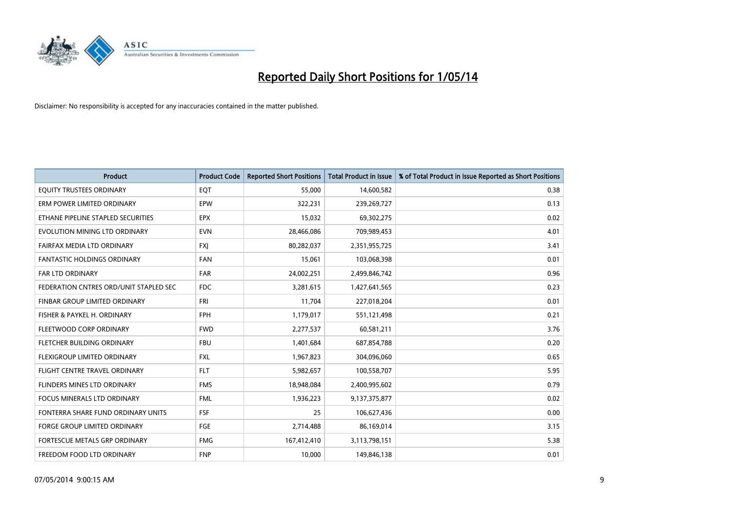

| <b>Product</b>                         | <b>Product Code</b> | <b>Reported Short Positions</b> | <b>Total Product in Issue</b> | % of Total Product in Issue Reported as Short Positions |
|----------------------------------------|---------------------|---------------------------------|-------------------------------|---------------------------------------------------------|
| EQUITY TRUSTEES ORDINARY               | EQT                 | 55,000                          | 14,600,582                    | 0.38                                                    |
| ERM POWER LIMITED ORDINARY             | <b>EPW</b>          | 322,231                         | 239,269,727                   | 0.13                                                    |
| ETHANE PIPELINE STAPLED SECURITIES     | <b>EPX</b>          | 15,032                          | 69,302,275                    | 0.02                                                    |
| EVOLUTION MINING LTD ORDINARY          | <b>EVN</b>          | 28,466,086                      | 709,989,453                   | 4.01                                                    |
| <b>FAIRFAX MEDIA LTD ORDINARY</b>      | <b>FXJ</b>          | 80,282,037                      | 2,351,955,725                 | 3.41                                                    |
| FANTASTIC HOLDINGS ORDINARY            | <b>FAN</b>          | 15,061                          | 103,068,398                   | 0.01                                                    |
| <b>FAR LTD ORDINARY</b>                | <b>FAR</b>          | 24,002,251                      | 2,499,846,742                 | 0.96                                                    |
| FEDERATION CNTRES ORD/UNIT STAPLED SEC | <b>FDC</b>          | 3,281,615                       | 1,427,641,565                 | 0.23                                                    |
| FINBAR GROUP LIMITED ORDINARY          | <b>FRI</b>          | 11,704                          | 227,018,204                   | 0.01                                                    |
| FISHER & PAYKEL H. ORDINARY            | <b>FPH</b>          | 1,179,017                       | 551,121,498                   | 0.21                                                    |
| FLEETWOOD CORP ORDINARY                | <b>FWD</b>          | 2,277,537                       | 60,581,211                    | 3.76                                                    |
| FLETCHER BUILDING ORDINARY             | <b>FBU</b>          | 1,401,684                       | 687,854,788                   | 0.20                                                    |
| FLEXIGROUP LIMITED ORDINARY            | FXL                 | 1,967,823                       | 304,096,060                   | 0.65                                                    |
| FLIGHT CENTRE TRAVEL ORDINARY          | <b>FLT</b>          | 5,982,657                       | 100,558,707                   | 5.95                                                    |
| FLINDERS MINES LTD ORDINARY            | <b>FMS</b>          | 18,948,084                      | 2,400,995,602                 | 0.79                                                    |
| <b>FOCUS MINERALS LTD ORDINARY</b>     | <b>FML</b>          | 1,936,223                       | 9,137,375,877                 | 0.02                                                    |
| FONTERRA SHARE FUND ORDINARY UNITS     | <b>FSF</b>          | 25                              | 106,627,436                   | 0.00                                                    |
| FORGE GROUP LIMITED ORDINARY           | FGE                 | 2,714,488                       | 86,169,014                    | 3.15                                                    |
| FORTESCUE METALS GRP ORDINARY          | <b>FMG</b>          | 167,412,410                     | 3,113,798,151                 | 5.38                                                    |
| FREEDOM FOOD LTD ORDINARY              | <b>FNP</b>          | 10,000                          | 149,846,138                   | 0.01                                                    |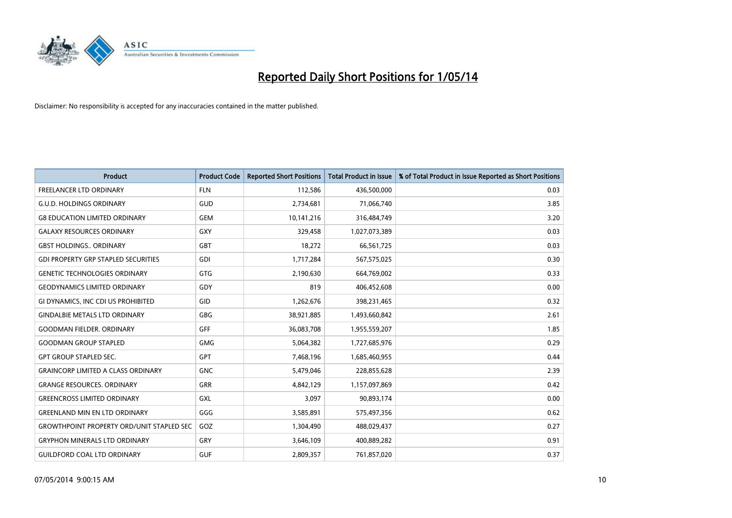

| <b>Product</b>                                   | <b>Product Code</b> | <b>Reported Short Positions</b> | <b>Total Product in Issue</b> | % of Total Product in Issue Reported as Short Positions |
|--------------------------------------------------|---------------------|---------------------------------|-------------------------------|---------------------------------------------------------|
| <b>FREELANCER LTD ORDINARY</b>                   | <b>FLN</b>          | 112,586                         | 436,500,000                   | 0.03                                                    |
| <b>G.U.D. HOLDINGS ORDINARY</b>                  | GUD                 | 2,734,681                       | 71,066,740                    | 3.85                                                    |
| <b>G8 EDUCATION LIMITED ORDINARY</b>             | <b>GEM</b>          | 10,141,216                      | 316,484,749                   | 3.20                                                    |
| <b>GALAXY RESOURCES ORDINARY</b>                 | GXY                 | 329,458                         | 1,027,073,389                 | 0.03                                                    |
| <b>GBST HOLDINGS., ORDINARY</b>                  | GBT                 | 18,272                          | 66,561,725                    | 0.03                                                    |
| <b>GDI PROPERTY GRP STAPLED SECURITIES</b>       | <b>GDI</b>          | 1,717,284                       | 567,575,025                   | 0.30                                                    |
| <b>GENETIC TECHNOLOGIES ORDINARY</b>             | GTG                 | 2,190,630                       | 664,769,002                   | 0.33                                                    |
| <b>GEODYNAMICS LIMITED ORDINARY</b>              | GDY                 | 819                             | 406,452,608                   | 0.00                                                    |
| GI DYNAMICS, INC CDI US PROHIBITED               | GID                 | 1,262,676                       | 398,231,465                   | 0.32                                                    |
| <b>GINDALBIE METALS LTD ORDINARY</b>             | <b>GBG</b>          | 38,921,885                      | 1,493,660,842                 | 2.61                                                    |
| <b>GOODMAN FIELDER. ORDINARY</b>                 | <b>GFF</b>          | 36,083,708                      | 1,955,559,207                 | 1.85                                                    |
| <b>GOODMAN GROUP STAPLED</b>                     | <b>GMG</b>          | 5,064,382                       | 1,727,685,976                 | 0.29                                                    |
| <b>GPT GROUP STAPLED SEC.</b>                    | GPT                 | 7,468,196                       | 1,685,460,955                 | 0.44                                                    |
| <b>GRAINCORP LIMITED A CLASS ORDINARY</b>        | <b>GNC</b>          | 5,479,046                       | 228,855,628                   | 2.39                                                    |
| <b>GRANGE RESOURCES, ORDINARY</b>                | GRR                 | 4,842,129                       | 1,157,097,869                 | 0.42                                                    |
| <b>GREENCROSS LIMITED ORDINARY</b>               | GXL                 | 3,097                           | 90,893,174                    | 0.00                                                    |
| <b>GREENLAND MIN EN LTD ORDINARY</b>             | GGG                 | 3,585,891                       | 575,497,356                   | 0.62                                                    |
| <b>GROWTHPOINT PROPERTY ORD/UNIT STAPLED SEC</b> | GOZ                 | 1,304,490                       | 488,029,437                   | 0.27                                                    |
| <b>GRYPHON MINERALS LTD ORDINARY</b>             | GRY                 | 3,646,109                       | 400,889,282                   | 0.91                                                    |
| <b>GUILDFORD COAL LTD ORDINARY</b>               | <b>GUF</b>          | 2,809,357                       | 761,857,020                   | 0.37                                                    |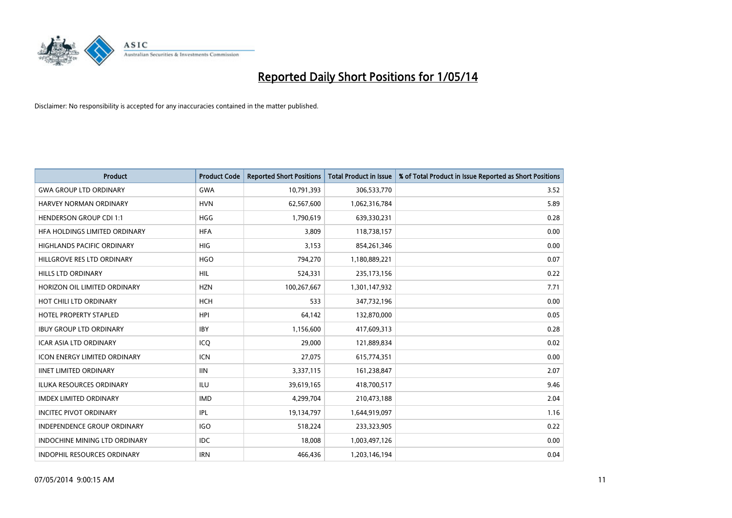

| <b>Product</b>                       | <b>Product Code</b> | <b>Reported Short Positions</b> | <b>Total Product in Issue</b> | % of Total Product in Issue Reported as Short Positions |
|--------------------------------------|---------------------|---------------------------------|-------------------------------|---------------------------------------------------------|
| <b>GWA GROUP LTD ORDINARY</b>        | <b>GWA</b>          | 10,791,393                      | 306,533,770                   | 3.52                                                    |
| <b>HARVEY NORMAN ORDINARY</b>        | <b>HVN</b>          | 62,567,600                      | 1,062,316,784                 | 5.89                                                    |
| <b>HENDERSON GROUP CDI 1:1</b>       | HGG                 | 1,790,619                       | 639,330,231                   | 0.28                                                    |
| HFA HOLDINGS LIMITED ORDINARY        | <b>HFA</b>          | 3,809                           | 118,738,157                   | 0.00                                                    |
| <b>HIGHLANDS PACIFIC ORDINARY</b>    | <b>HIG</b>          | 3,153                           | 854,261,346                   | 0.00                                                    |
| HILLGROVE RES LTD ORDINARY           | <b>HGO</b>          | 794,270                         | 1,180,889,221                 | 0.07                                                    |
| HILLS LTD ORDINARY                   | HIL                 | 524,331                         | 235, 173, 156                 | 0.22                                                    |
| HORIZON OIL LIMITED ORDINARY         | <b>HZN</b>          | 100,267,667                     | 1,301,147,932                 | 7.71                                                    |
| HOT CHILI LTD ORDINARY               | <b>HCH</b>          | 533                             | 347,732,196                   | 0.00                                                    |
| <b>HOTEL PROPERTY STAPLED</b>        | <b>HPI</b>          | 64,142                          | 132,870,000                   | 0.05                                                    |
| <b>IBUY GROUP LTD ORDINARY</b>       | <b>IBY</b>          | 1,156,600                       | 417,609,313                   | 0.28                                                    |
| <b>ICAR ASIA LTD ORDINARY</b>        | ICQ                 | 29,000                          | 121,889,834                   | 0.02                                                    |
| <b>ICON ENERGY LIMITED ORDINARY</b>  | <b>ICN</b>          | 27,075                          | 615,774,351                   | 0.00                                                    |
| <b>IINET LIMITED ORDINARY</b>        | <b>IIN</b>          | 3,337,115                       | 161,238,847                   | 2.07                                                    |
| <b>ILUKA RESOURCES ORDINARY</b>      | <b>ILU</b>          | 39,619,165                      | 418,700,517                   | 9.46                                                    |
| <b>IMDEX LIMITED ORDINARY</b>        | <b>IMD</b>          | 4,299,704                       | 210,473,188                   | 2.04                                                    |
| <b>INCITEC PIVOT ORDINARY</b>        | IPL                 | 19,134,797                      | 1,644,919,097                 | 1.16                                                    |
| <b>INDEPENDENCE GROUP ORDINARY</b>   | <b>IGO</b>          | 518,224                         | 233,323,905                   | 0.22                                                    |
| <b>INDOCHINE MINING LTD ORDINARY</b> | <b>IDC</b>          | 18,008                          | 1,003,497,126                 | 0.00                                                    |
| INDOPHIL RESOURCES ORDINARY          | <b>IRN</b>          | 466,436                         | 1,203,146,194                 | 0.04                                                    |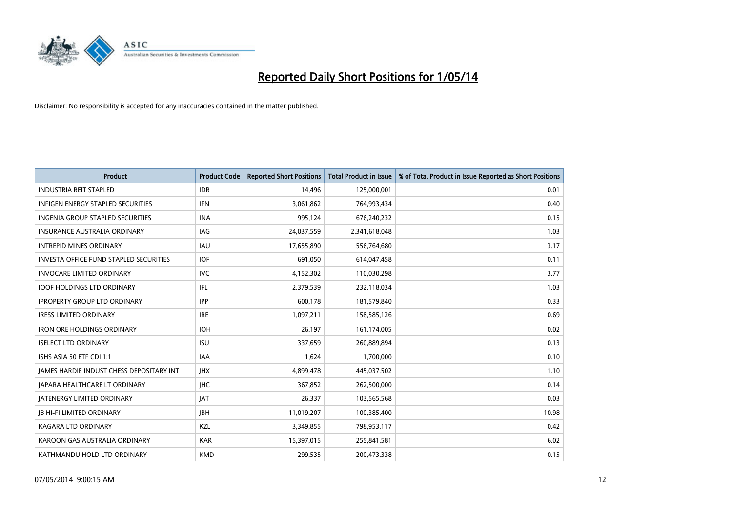

| <b>Product</b>                                  | <b>Product Code</b> | <b>Reported Short Positions</b> | <b>Total Product in Issue</b> | % of Total Product in Issue Reported as Short Positions |
|-------------------------------------------------|---------------------|---------------------------------|-------------------------------|---------------------------------------------------------|
| <b>INDUSTRIA REIT STAPLED</b>                   | <b>IDR</b>          | 14,496                          | 125,000,001                   | 0.01                                                    |
| INFIGEN ENERGY STAPLED SECURITIES               | IFN                 | 3,061,862                       | 764,993,434                   | 0.40                                                    |
| <b>INGENIA GROUP STAPLED SECURITIES</b>         | <b>INA</b>          | 995,124                         | 676,240,232                   | 0.15                                                    |
| INSURANCE AUSTRALIA ORDINARY                    | IAG                 | 24,037,559                      | 2,341,618,048                 | 1.03                                                    |
| <b>INTREPID MINES ORDINARY</b>                  | <b>IAU</b>          | 17,655,890                      | 556,764,680                   | 3.17                                                    |
| <b>INVESTA OFFICE FUND STAPLED SECURITIES</b>   | <b>IOF</b>          | 691,050                         | 614,047,458                   | 0.11                                                    |
| <b>INVOCARE LIMITED ORDINARY</b>                | IVC.                | 4,152,302                       | 110,030,298                   | 3.77                                                    |
| <b>IOOF HOLDINGS LTD ORDINARY</b>               | IFL                 | 2,379,539                       | 232,118,034                   | 1.03                                                    |
| <b>IPROPERTY GROUP LTD ORDINARY</b>             | <b>IPP</b>          | 600,178                         | 181,579,840                   | 0.33                                                    |
| <b>IRESS LIMITED ORDINARY</b>                   | <b>IRE</b>          | 1,097,211                       | 158,585,126                   | 0.69                                                    |
| <b>IRON ORE HOLDINGS ORDINARY</b>               | <b>IOH</b>          | 26,197                          | 161,174,005                   | 0.02                                                    |
| <b>ISELECT LTD ORDINARY</b>                     | <b>ISU</b>          | 337,659                         | 260,889,894                   | 0.13                                                    |
| ISHS ASIA 50 ETF CDI 1:1                        | IAA                 | 1,624                           | 1,700,000                     | 0.10                                                    |
| <b>JAMES HARDIE INDUST CHESS DEPOSITARY INT</b> | <b>IHX</b>          | 4,899,478                       | 445,037,502                   | 1.10                                                    |
| <b>JAPARA HEALTHCARE LT ORDINARY</b>            | <b>IHC</b>          | 367,852                         | 262,500,000                   | 0.14                                                    |
| <b>JATENERGY LIMITED ORDINARY</b>               | <b>JAT</b>          | 26,337                          | 103,565,568                   | 0.03                                                    |
| <b>JB HI-FI LIMITED ORDINARY</b>                | <b>IBH</b>          | 11,019,207                      | 100,385,400                   | 10.98                                                   |
| <b>KAGARA LTD ORDINARY</b>                      | KZL                 | 3,349,855                       | 798,953,117                   | 0.42                                                    |
| KAROON GAS AUSTRALIA ORDINARY                   | <b>KAR</b>          | 15,397,015                      | 255,841,581                   | 6.02                                                    |
| KATHMANDU HOLD LTD ORDINARY                     | <b>KMD</b>          | 299,535                         | 200,473,338                   | 0.15                                                    |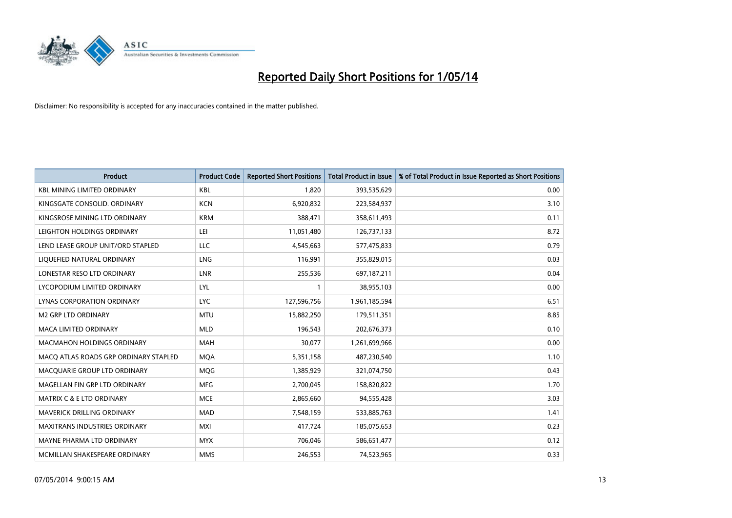

| <b>Product</b>                        | <b>Product Code</b> | <b>Reported Short Positions</b> | <b>Total Product in Issue</b> | % of Total Product in Issue Reported as Short Positions |
|---------------------------------------|---------------------|---------------------------------|-------------------------------|---------------------------------------------------------|
| <b>KBL MINING LIMITED ORDINARY</b>    | <b>KBL</b>          | 1,820                           | 393,535,629                   | 0.00                                                    |
| KINGSGATE CONSOLID. ORDINARY          | <b>KCN</b>          | 6,920,832                       | 223,584,937                   | 3.10                                                    |
| KINGSROSE MINING LTD ORDINARY         | <b>KRM</b>          | 388,471                         | 358,611,493                   | 0.11                                                    |
| LEIGHTON HOLDINGS ORDINARY            | LEI                 | 11,051,480                      | 126,737,133                   | 8.72                                                    |
| LEND LEASE GROUP UNIT/ORD STAPLED     | LLC                 | 4,545,663                       | 577,475,833                   | 0.79                                                    |
| LIQUEFIED NATURAL ORDINARY            | LNG                 | 116,991                         | 355,829,015                   | 0.03                                                    |
| LONESTAR RESO LTD ORDINARY            | LNR                 | 255,536                         | 697,187,211                   | 0.04                                                    |
| LYCOPODIUM LIMITED ORDINARY           | <b>LYL</b>          | $\mathbf{1}$                    | 38,955,103                    | 0.00                                                    |
| LYNAS CORPORATION ORDINARY            | <b>LYC</b>          | 127,596,756                     | 1,961,185,594                 | 6.51                                                    |
| <b>M2 GRP LTD ORDINARY</b>            | <b>MTU</b>          | 15,882,250                      | 179,511,351                   | 8.85                                                    |
| MACA LIMITED ORDINARY                 | <b>MLD</b>          | 196,543                         | 202,676,373                   | 0.10                                                    |
| <b>MACMAHON HOLDINGS ORDINARY</b>     | MAH                 | 30,077                          | 1,261,699,966                 | 0.00                                                    |
| MACO ATLAS ROADS GRP ORDINARY STAPLED | <b>MOA</b>          | 5,351,158                       | 487,230,540                   | 1.10                                                    |
| MACQUARIE GROUP LTD ORDINARY          | <b>MOG</b>          | 1,385,929                       | 321,074,750                   | 0.43                                                    |
| MAGELLAN FIN GRP LTD ORDINARY         | <b>MFG</b>          | 2,700,045                       | 158,820,822                   | 1.70                                                    |
| <b>MATRIX C &amp; E LTD ORDINARY</b>  | <b>MCE</b>          | 2,865,660                       | 94,555,428                    | 3.03                                                    |
| MAVERICK DRILLING ORDINARY            | <b>MAD</b>          | 7,548,159                       | 533,885,763                   | 1.41                                                    |
| MAXITRANS INDUSTRIES ORDINARY         | <b>MXI</b>          | 417,724                         | 185,075,653                   | 0.23                                                    |
| MAYNE PHARMA LTD ORDINARY             | <b>MYX</b>          | 706,046                         | 586,651,477                   | 0.12                                                    |
| MCMILLAN SHAKESPEARE ORDINARY         | <b>MMS</b>          | 246,553                         | 74,523,965                    | 0.33                                                    |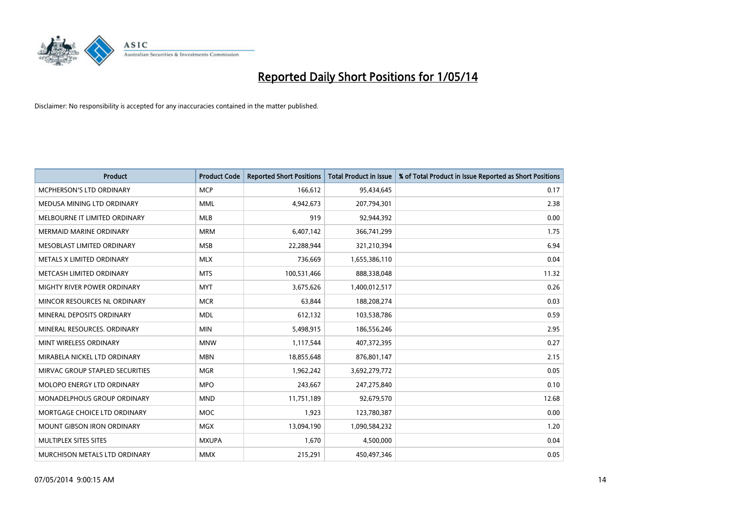

| <b>Product</b>                    | <b>Product Code</b> | <b>Reported Short Positions</b> | <b>Total Product in Issue</b> | % of Total Product in Issue Reported as Short Positions |
|-----------------------------------|---------------------|---------------------------------|-------------------------------|---------------------------------------------------------|
| MCPHERSON'S LTD ORDINARY          | <b>MCP</b>          | 166,612                         | 95,434,645                    | 0.17                                                    |
| MEDUSA MINING LTD ORDINARY        | MML                 | 4,942,673                       | 207,794,301                   | 2.38                                                    |
| MELBOURNE IT LIMITED ORDINARY     | <b>MLB</b>          | 919                             | 92,944,392                    | 0.00                                                    |
| <b>MERMAID MARINE ORDINARY</b>    | <b>MRM</b>          | 6,407,142                       | 366,741,299                   | 1.75                                                    |
| MESOBLAST LIMITED ORDINARY        | <b>MSB</b>          | 22,288,944                      | 321,210,394                   | 6.94                                                    |
| METALS X LIMITED ORDINARY         | <b>MLX</b>          | 736,669                         | 1,655,386,110                 | 0.04                                                    |
| METCASH LIMITED ORDINARY          | <b>MTS</b>          | 100,531,466                     | 888,338,048                   | 11.32                                                   |
| MIGHTY RIVER POWER ORDINARY       | <b>MYT</b>          | 3,675,626                       | 1,400,012,517                 | 0.26                                                    |
| MINCOR RESOURCES NL ORDINARY      | <b>MCR</b>          | 63,844                          | 188,208,274                   | 0.03                                                    |
| MINERAL DEPOSITS ORDINARY         | <b>MDL</b>          | 612,132                         | 103,538,786                   | 0.59                                                    |
| MINERAL RESOURCES. ORDINARY       | <b>MIN</b>          | 5,498,915                       | 186,556,246                   | 2.95                                                    |
| MINT WIRELESS ORDINARY            | <b>MNW</b>          | 1,117,544                       | 407,372,395                   | 0.27                                                    |
| MIRABELA NICKEL LTD ORDINARY      | <b>MBN</b>          | 18,855,648                      | 876,801,147                   | 2.15                                                    |
| MIRVAC GROUP STAPLED SECURITIES   | <b>MGR</b>          | 1,962,242                       | 3,692,279,772                 | 0.05                                                    |
| MOLOPO ENERGY LTD ORDINARY        | <b>MPO</b>          | 243,667                         | 247,275,840                   | 0.10                                                    |
| MONADELPHOUS GROUP ORDINARY       | <b>MND</b>          | 11,751,189                      | 92,679,570                    | 12.68                                                   |
| MORTGAGE CHOICE LTD ORDINARY      | <b>MOC</b>          | 1,923                           | 123,780,387                   | 0.00                                                    |
| <b>MOUNT GIBSON IRON ORDINARY</b> | <b>MGX</b>          | 13,094,190                      | 1,090,584,232                 | 1.20                                                    |
| MULTIPLEX SITES SITES             | <b>MXUPA</b>        | 1,670                           | 4,500,000                     | 0.04                                                    |
| MURCHISON METALS LTD ORDINARY     | <b>MMX</b>          | 215,291                         | 450,497,346                   | 0.05                                                    |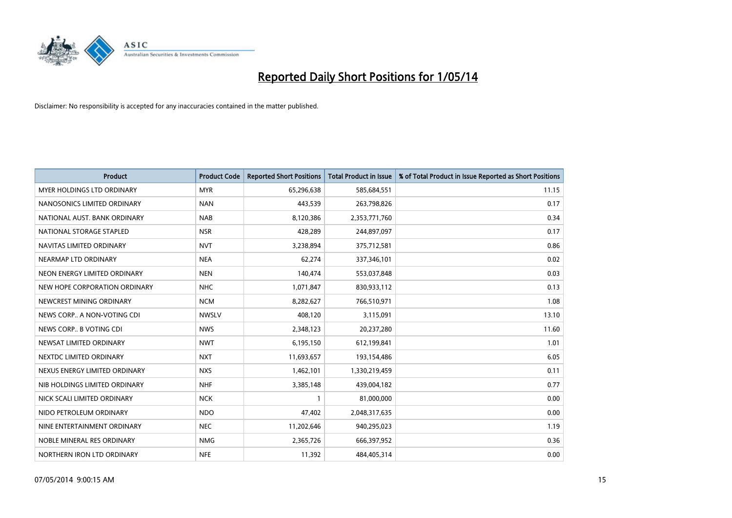

| <b>Product</b>                    | <b>Product Code</b> | <b>Reported Short Positions</b> | <b>Total Product in Issue</b> | % of Total Product in Issue Reported as Short Positions |
|-----------------------------------|---------------------|---------------------------------|-------------------------------|---------------------------------------------------------|
| <b>MYER HOLDINGS LTD ORDINARY</b> | <b>MYR</b>          | 65,296,638                      | 585,684,551                   | 11.15                                                   |
| NANOSONICS LIMITED ORDINARY       | <b>NAN</b>          | 443,539                         | 263,798,826                   | 0.17                                                    |
| NATIONAL AUST, BANK ORDINARY      | <b>NAB</b>          | 8,120,386                       | 2,353,771,760                 | 0.34                                                    |
| NATIONAL STORAGE STAPLED          | <b>NSR</b>          | 428,289                         | 244,897,097                   | 0.17                                                    |
| NAVITAS LIMITED ORDINARY          | <b>NVT</b>          | 3,238,894                       | 375,712,581                   | 0.86                                                    |
| NEARMAP LTD ORDINARY              | <b>NEA</b>          | 62,274                          | 337,346,101                   | 0.02                                                    |
| NEON ENERGY LIMITED ORDINARY      | <b>NEN</b>          | 140,474                         | 553,037,848                   | 0.03                                                    |
| NEW HOPE CORPORATION ORDINARY     | <b>NHC</b>          | 1,071,847                       | 830,933,112                   | 0.13                                                    |
| NEWCREST MINING ORDINARY          | <b>NCM</b>          | 8,282,627                       | 766,510,971                   | 1.08                                                    |
| NEWS CORP A NON-VOTING CDI        | <b>NWSLV</b>        | 408,120                         | 3,115,091                     | 13.10                                                   |
| NEWS CORP B VOTING CDI            | <b>NWS</b>          | 2,348,123                       | 20,237,280                    | 11.60                                                   |
| NEWSAT LIMITED ORDINARY           | <b>NWT</b>          | 6,195,150                       | 612,199,841                   | 1.01                                                    |
| NEXTDC LIMITED ORDINARY           | <b>NXT</b>          | 11,693,657                      | 193,154,486                   | 6.05                                                    |
| NEXUS ENERGY LIMITED ORDINARY     | <b>NXS</b>          | 1,462,101                       | 1,330,219,459                 | 0.11                                                    |
| NIB HOLDINGS LIMITED ORDINARY     | <b>NHF</b>          | 3,385,148                       | 439,004,182                   | 0.77                                                    |
| NICK SCALI LIMITED ORDINARY       | <b>NCK</b>          |                                 | 81,000,000                    | 0.00                                                    |
| NIDO PETROLEUM ORDINARY           | <b>NDO</b>          | 47,402                          | 2,048,317,635                 | 0.00                                                    |
| NINE ENTERTAINMENT ORDINARY       | <b>NEC</b>          | 11,202,646                      | 940,295,023                   | 1.19                                                    |
| NOBLE MINERAL RES ORDINARY        | <b>NMG</b>          | 2,365,726                       | 666,397,952                   | 0.36                                                    |
| NORTHERN IRON LTD ORDINARY        | <b>NFE</b>          | 11,392                          | 484,405,314                   | 0.00                                                    |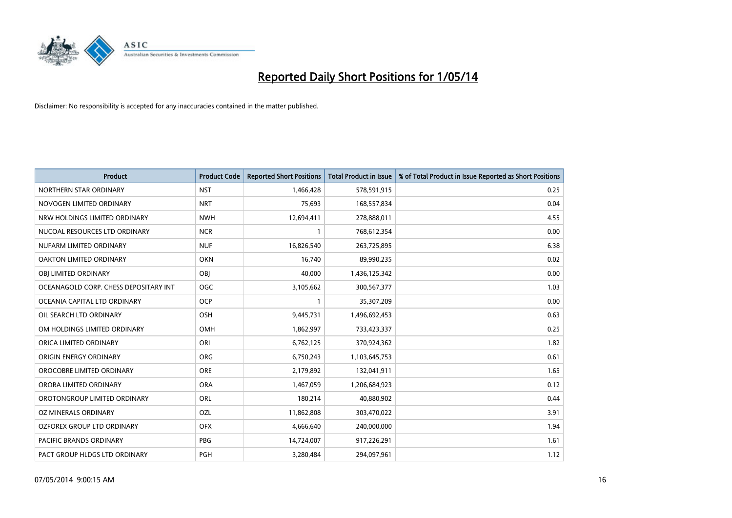

| <b>Product</b>                        | <b>Product Code</b> | <b>Reported Short Positions</b> | <b>Total Product in Issue</b> | % of Total Product in Issue Reported as Short Positions |
|---------------------------------------|---------------------|---------------------------------|-------------------------------|---------------------------------------------------------|
| NORTHERN STAR ORDINARY                | <b>NST</b>          | 1,466,428                       | 578,591,915                   | 0.25                                                    |
| NOVOGEN LIMITED ORDINARY              | <b>NRT</b>          | 75,693                          | 168,557,834                   | 0.04                                                    |
| NRW HOLDINGS LIMITED ORDINARY         | <b>NWH</b>          | 12,694,411                      | 278,888,011                   | 4.55                                                    |
| NUCOAL RESOURCES LTD ORDINARY         | <b>NCR</b>          | $\mathbf{1}$                    | 768,612,354                   | 0.00                                                    |
| NUFARM LIMITED ORDINARY               | <b>NUF</b>          | 16,826,540                      | 263,725,895                   | 6.38                                                    |
| <b>OAKTON LIMITED ORDINARY</b>        | <b>OKN</b>          | 16,740                          | 89,990,235                    | 0.02                                                    |
| OBI LIMITED ORDINARY                  | OBI                 | 40,000                          | 1,436,125,342                 | 0.00                                                    |
| OCEANAGOLD CORP. CHESS DEPOSITARY INT | <b>OGC</b>          | 3,105,662                       | 300,567,377                   | 1.03                                                    |
| OCEANIA CAPITAL LTD ORDINARY          | <b>OCP</b>          | 1                               | 35,307,209                    | 0.00                                                    |
| OIL SEARCH LTD ORDINARY               | OSH                 | 9,445,731                       | 1,496,692,453                 | 0.63                                                    |
| OM HOLDINGS LIMITED ORDINARY          | OMH                 | 1,862,997                       | 733,423,337                   | 0.25                                                    |
| ORICA LIMITED ORDINARY                | ORI                 | 6,762,125                       | 370,924,362                   | 1.82                                                    |
| ORIGIN ENERGY ORDINARY                | <b>ORG</b>          | 6,750,243                       | 1,103,645,753                 | 0.61                                                    |
| OROCOBRE LIMITED ORDINARY             | <b>ORE</b>          | 2,179,892                       | 132,041,911                   | 1.65                                                    |
| ORORA LIMITED ORDINARY                | <b>ORA</b>          | 1,467,059                       | 1,206,684,923                 | 0.12                                                    |
| OROTONGROUP LIMITED ORDINARY          | ORL                 | 180,214                         | 40,880,902                    | 0.44                                                    |
| OZ MINERALS ORDINARY                  | OZL                 | 11,862,808                      | 303,470,022                   | 3.91                                                    |
| OZFOREX GROUP LTD ORDINARY            | <b>OFX</b>          | 4,666,640                       | 240,000,000                   | 1.94                                                    |
| <b>PACIFIC BRANDS ORDINARY</b>        | <b>PBG</b>          | 14,724,007                      | 917,226,291                   | 1.61                                                    |
| PACT GROUP HLDGS LTD ORDINARY         | PGH                 | 3,280,484                       | 294,097,961                   | 1.12                                                    |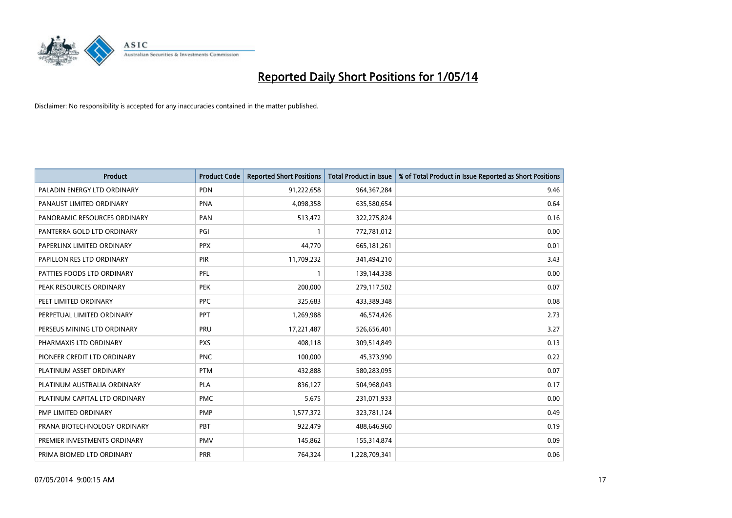

| <b>Product</b>                | <b>Product Code</b> | <b>Reported Short Positions</b> | <b>Total Product in Issue</b> | % of Total Product in Issue Reported as Short Positions |
|-------------------------------|---------------------|---------------------------------|-------------------------------|---------------------------------------------------------|
| PALADIN ENERGY LTD ORDINARY   | <b>PDN</b>          | 91,222,658                      | 964,367,284                   | 9.46                                                    |
| PANAUST LIMITED ORDINARY      | <b>PNA</b>          | 4,098,358                       | 635,580,654                   | 0.64                                                    |
| PANORAMIC RESOURCES ORDINARY  | PAN                 | 513,472                         | 322,275,824                   | 0.16                                                    |
| PANTERRA GOLD LTD ORDINARY    | PGI                 | $\mathbf{1}$                    | 772,781,012                   | 0.00                                                    |
| PAPERLINX LIMITED ORDINARY    | <b>PPX</b>          | 44,770                          | 665,181,261                   | 0.01                                                    |
| PAPILLON RES LTD ORDINARY     | <b>PIR</b>          | 11,709,232                      | 341,494,210                   | 3.43                                                    |
| PATTIES FOODS LTD ORDINARY    | PFL                 | $\mathbf{1}$                    | 139,144,338                   | 0.00                                                    |
| PEAK RESOURCES ORDINARY       | <b>PEK</b>          | 200,000                         | 279,117,502                   | 0.07                                                    |
| PEET LIMITED ORDINARY         | <b>PPC</b>          | 325,683                         | 433,389,348                   | 0.08                                                    |
| PERPETUAL LIMITED ORDINARY    | <b>PPT</b>          | 1,269,988                       | 46,574,426                    | 2.73                                                    |
| PERSEUS MINING LTD ORDINARY   | PRU                 | 17,221,487                      | 526,656,401                   | 3.27                                                    |
| PHARMAXIS LTD ORDINARY        | <b>PXS</b>          | 408,118                         | 309,514,849                   | 0.13                                                    |
| PIONEER CREDIT LTD ORDINARY   | <b>PNC</b>          | 100,000                         | 45,373,990                    | 0.22                                                    |
| PLATINUM ASSET ORDINARY       | <b>PTM</b>          | 432,888                         | 580,283,095                   | 0.07                                                    |
| PLATINUM AUSTRALIA ORDINARY   | <b>PLA</b>          | 836,127                         | 504,968,043                   | 0.17                                                    |
| PLATINUM CAPITAL LTD ORDINARY | <b>PMC</b>          | 5,675                           | 231,071,933                   | 0.00                                                    |
| PMP LIMITED ORDINARY          | <b>PMP</b>          | 1,577,372                       | 323,781,124                   | 0.49                                                    |
| PRANA BIOTECHNOLOGY ORDINARY  | PBT                 | 922,479                         | 488,646,960                   | 0.19                                                    |
| PREMIER INVESTMENTS ORDINARY  | <b>PMV</b>          | 145,862                         | 155,314,874                   | 0.09                                                    |
| PRIMA BIOMED LTD ORDINARY     | <b>PRR</b>          | 764,324                         | 1,228,709,341                 | 0.06                                                    |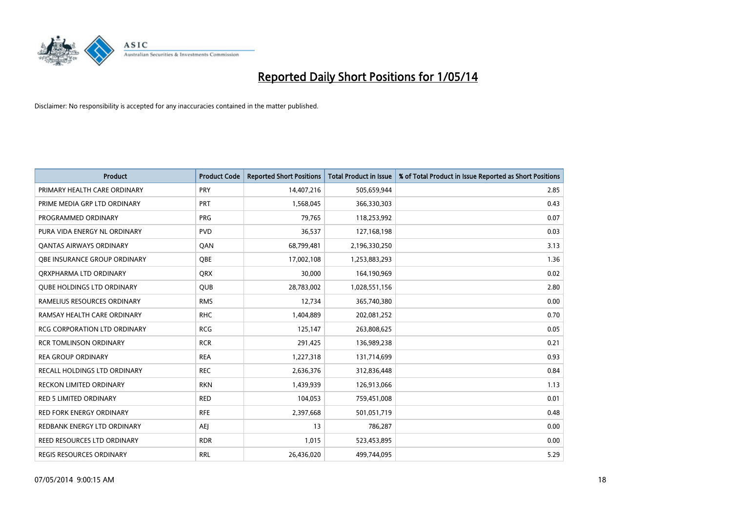

| <b>Product</b>                      | <b>Product Code</b> | <b>Reported Short Positions</b> | <b>Total Product in Issue</b> | % of Total Product in Issue Reported as Short Positions |
|-------------------------------------|---------------------|---------------------------------|-------------------------------|---------------------------------------------------------|
| PRIMARY HEALTH CARE ORDINARY        | <b>PRY</b>          | 14,407,216                      | 505,659,944                   | 2.85                                                    |
| PRIME MEDIA GRP LTD ORDINARY        | PRT                 | 1,568,045                       | 366,330,303                   | 0.43                                                    |
| PROGRAMMED ORDINARY                 | <b>PRG</b>          | 79,765                          | 118,253,992                   | 0.07                                                    |
| PURA VIDA ENERGY NL ORDINARY        | <b>PVD</b>          | 36,537                          | 127,168,198                   | 0.03                                                    |
| OANTAS AIRWAYS ORDINARY             | QAN                 | 68,799,481                      | 2,196,330,250                 | 3.13                                                    |
| OBE INSURANCE GROUP ORDINARY        | <b>OBE</b>          | 17,002,108                      | 1,253,883,293                 | 1.36                                                    |
| ORXPHARMA LTD ORDINARY              | <b>QRX</b>          | 30,000                          | 164,190,969                   | 0.02                                                    |
| <b>QUBE HOLDINGS LTD ORDINARY</b>   | <b>QUB</b>          | 28,783,002                      | 1,028,551,156                 | 2.80                                                    |
| RAMELIUS RESOURCES ORDINARY         | <b>RMS</b>          | 12,734                          | 365,740,380                   | 0.00                                                    |
| RAMSAY HEALTH CARE ORDINARY         | <b>RHC</b>          | 1,404,889                       | 202,081,252                   | 0.70                                                    |
| RCG CORPORATION LTD ORDINARY        | <b>RCG</b>          | 125,147                         | 263,808,625                   | 0.05                                                    |
| <b>RCR TOMLINSON ORDINARY</b>       | <b>RCR</b>          | 291,425                         | 136,989,238                   | 0.21                                                    |
| <b>REA GROUP ORDINARY</b>           | <b>REA</b>          | 1,227,318                       | 131,714,699                   | 0.93                                                    |
| <b>RECALL HOLDINGS LTD ORDINARY</b> | <b>REC</b>          | 2,636,376                       | 312,836,448                   | 0.84                                                    |
| <b>RECKON LIMITED ORDINARY</b>      | <b>RKN</b>          | 1,439,939                       | 126,913,066                   | 1.13                                                    |
| RED 5 LIMITED ORDINARY              | <b>RED</b>          | 104,053                         | 759,451,008                   | 0.01                                                    |
| RED FORK ENERGY ORDINARY            | <b>RFE</b>          | 2,397,668                       | 501,051,719                   | 0.48                                                    |
| REDBANK ENERGY LTD ORDINARY         | AEJ                 | 13                              | 786,287                       | 0.00                                                    |
| <b>REED RESOURCES LTD ORDINARY</b>  | <b>RDR</b>          | 1,015                           | 523,453,895                   | 0.00                                                    |
| REGIS RESOURCES ORDINARY            | <b>RRL</b>          | 26,436,020                      | 499,744,095                   | 5.29                                                    |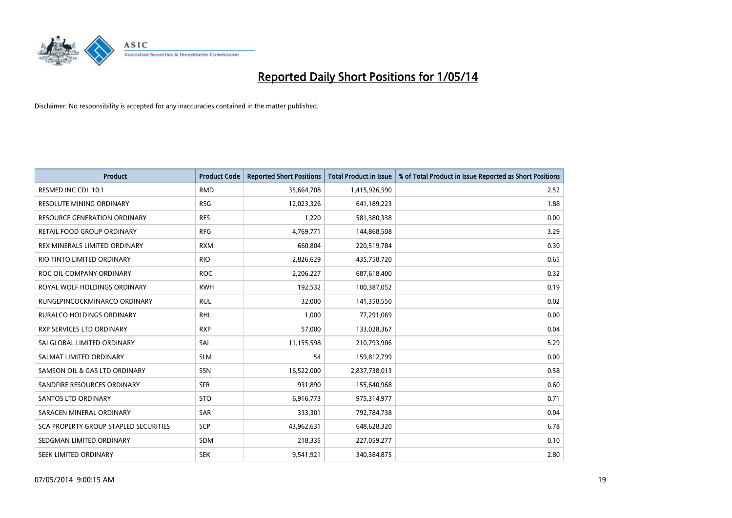

| <b>Product</b>                        | <b>Product Code</b> | <b>Reported Short Positions</b> | <b>Total Product in Issue</b> | % of Total Product in Issue Reported as Short Positions |
|---------------------------------------|---------------------|---------------------------------|-------------------------------|---------------------------------------------------------|
| RESMED INC CDI 10:1                   | <b>RMD</b>          | 35,664,708                      | 1,415,926,590                 | 2.52                                                    |
| RESOLUTE MINING ORDINARY              | <b>RSG</b>          | 12,023,326                      | 641,189,223                   | 1.88                                                    |
| RESOURCE GENERATION ORDINARY          | <b>RES</b>          | 1,220                           | 581,380,338                   | 0.00                                                    |
| RETAIL FOOD GROUP ORDINARY            | <b>RFG</b>          | 4,769,771                       | 144,868,508                   | 3.29                                                    |
| REX MINERALS LIMITED ORDINARY         | <b>RXM</b>          | 660,804                         | 220,519,784                   | 0.30                                                    |
| RIO TINTO LIMITED ORDINARY            | <b>RIO</b>          | 2,826,629                       | 435,758,720                   | 0.65                                                    |
| ROC OIL COMPANY ORDINARY              | <b>ROC</b>          | 2,206,227                       | 687,618,400                   | 0.32                                                    |
| ROYAL WOLF HOLDINGS ORDINARY          | <b>RWH</b>          | 192,532                         | 100,387,052                   | 0.19                                                    |
| RUNGEPINCOCKMINARCO ORDINARY          | <b>RUL</b>          | 32,000                          | 141,358,550                   | 0.02                                                    |
| <b>RURALCO HOLDINGS ORDINARY</b>      | <b>RHL</b>          | 1,000                           | 77,291,069                    | 0.00                                                    |
| RXP SERVICES LTD ORDINARY             | <b>RXP</b>          | 57,000                          | 133,028,367                   | 0.04                                                    |
| SAI GLOBAL LIMITED ORDINARY           | SAI                 | 11,155,598                      | 210,793,906                   | 5.29                                                    |
| SALMAT LIMITED ORDINARY               | <b>SLM</b>          | 54                              | 159,812,799                   | 0.00                                                    |
| SAMSON OIL & GAS LTD ORDINARY         | SSN                 | 16,522,000                      | 2,837,738,013                 | 0.58                                                    |
| SANDFIRE RESOURCES ORDINARY           | <b>SFR</b>          | 931,890                         | 155,640,968                   | 0.60                                                    |
| <b>SANTOS LTD ORDINARY</b>            | <b>STO</b>          | 6,916,773                       | 975,314,977                   | 0.71                                                    |
| SARACEN MINERAL ORDINARY              | <b>SAR</b>          | 333,301                         | 792,784,738                   | 0.04                                                    |
| SCA PROPERTY GROUP STAPLED SECURITIES | <b>SCP</b>          | 43,962,631                      | 648,628,320                   | 6.78                                                    |
| SEDGMAN LIMITED ORDINARY              | <b>SDM</b>          | 218,335                         | 227,059,277                   | 0.10                                                    |
| SEEK LIMITED ORDINARY                 | <b>SEK</b>          | 9,541,921                       | 340,384,875                   | 2.80                                                    |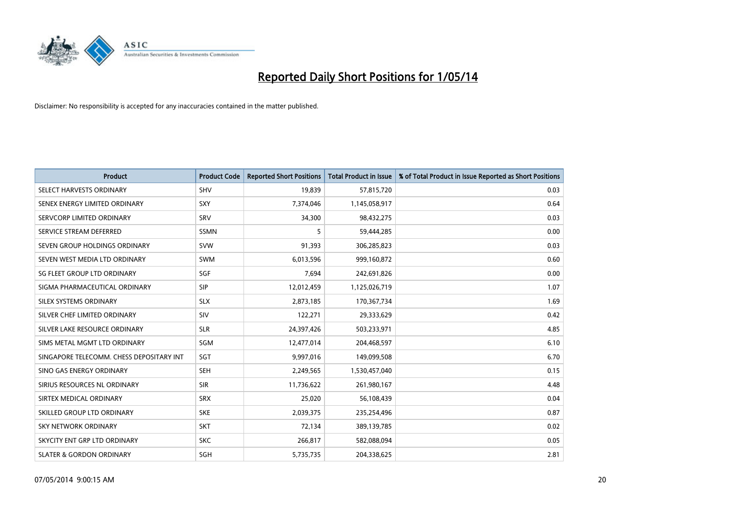

| <b>Product</b>                           | <b>Product Code</b> | <b>Reported Short Positions</b> | <b>Total Product in Issue</b> | % of Total Product in Issue Reported as Short Positions |
|------------------------------------------|---------------------|---------------------------------|-------------------------------|---------------------------------------------------------|
| SELECT HARVESTS ORDINARY                 | SHV                 | 19,839                          | 57,815,720                    | 0.03                                                    |
| SENEX ENERGY LIMITED ORDINARY            | <b>SXY</b>          | 7,374,046                       | 1,145,058,917                 | 0.64                                                    |
| SERVCORP LIMITED ORDINARY                | SRV                 | 34,300                          | 98,432,275                    | 0.03                                                    |
| SERVICE STREAM DEFERRED                  | <b>SSMN</b>         | 5                               | 59,444,285                    | 0.00                                                    |
| SEVEN GROUP HOLDINGS ORDINARY            | <b>SVW</b>          | 91,393                          | 306,285,823                   | 0.03                                                    |
| SEVEN WEST MEDIA LTD ORDINARY            | <b>SWM</b>          | 6,013,596                       | 999,160,872                   | 0.60                                                    |
| SG FLEET GROUP LTD ORDINARY              | <b>SGF</b>          | 7,694                           | 242,691,826                   | 0.00                                                    |
| SIGMA PHARMACEUTICAL ORDINARY            | <b>SIP</b>          | 12,012,459                      | 1,125,026,719                 | 1.07                                                    |
| SILEX SYSTEMS ORDINARY                   | <b>SLX</b>          | 2,873,185                       | 170,367,734                   | 1.69                                                    |
| SILVER CHEF LIMITED ORDINARY             | SIV                 | 122,271                         | 29,333,629                    | 0.42                                                    |
| SILVER LAKE RESOURCE ORDINARY            | <b>SLR</b>          | 24,397,426                      | 503,233,971                   | 4.85                                                    |
| SIMS METAL MGMT LTD ORDINARY             | SGM                 | 12,477,014                      | 204,468,597                   | 6.10                                                    |
| SINGAPORE TELECOMM. CHESS DEPOSITARY INT | SGT                 | 9,997,016                       | 149,099,508                   | 6.70                                                    |
| SINO GAS ENERGY ORDINARY                 | SEH                 | 2,249,565                       | 1,530,457,040                 | 0.15                                                    |
| SIRIUS RESOURCES NL ORDINARY             | <b>SIR</b>          | 11,736,622                      | 261,980,167                   | 4.48                                                    |
| SIRTEX MEDICAL ORDINARY                  | <b>SRX</b>          | 25,020                          | 56,108,439                    | 0.04                                                    |
| SKILLED GROUP LTD ORDINARY               | <b>SKE</b>          | 2,039,375                       | 235,254,496                   | 0.87                                                    |
| <b>SKY NETWORK ORDINARY</b>              | <b>SKT</b>          | 72,134                          | 389,139,785                   | 0.02                                                    |
| SKYCITY ENT GRP LTD ORDINARY             | <b>SKC</b>          | 266,817                         | 582,088,094                   | 0.05                                                    |
| <b>SLATER &amp; GORDON ORDINARY</b>      | SGH                 | 5,735,735                       | 204,338,625                   | 2.81                                                    |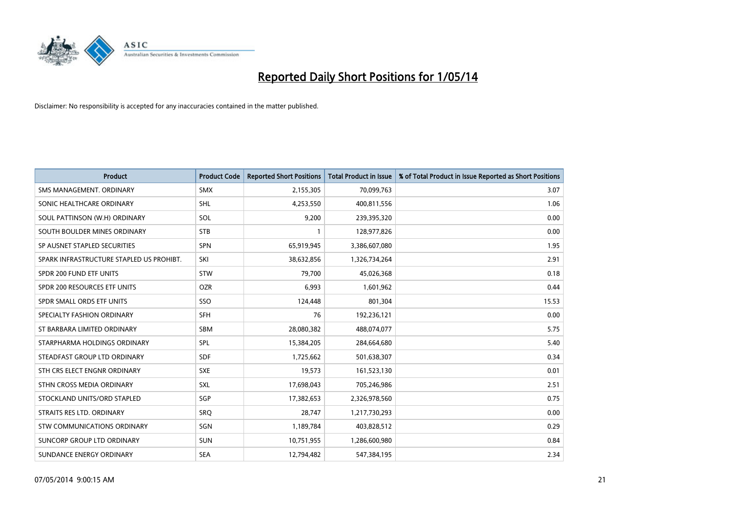

| <b>Product</b>                           | <b>Product Code</b> | <b>Reported Short Positions</b> | <b>Total Product in Issue</b> | % of Total Product in Issue Reported as Short Positions |
|------------------------------------------|---------------------|---------------------------------|-------------------------------|---------------------------------------------------------|
| SMS MANAGEMENT, ORDINARY                 | <b>SMX</b>          | 2,155,305                       | 70,099,763                    | 3.07                                                    |
| SONIC HEALTHCARE ORDINARY                | <b>SHL</b>          | 4,253,550                       | 400,811,556                   | 1.06                                                    |
| SOUL PATTINSON (W.H) ORDINARY            | SOL                 | 9,200                           | 239,395,320                   | 0.00                                                    |
| SOUTH BOULDER MINES ORDINARY             | <b>STB</b>          | 1                               | 128,977,826                   | 0.00                                                    |
| SP AUSNET STAPLED SECURITIES             | <b>SPN</b>          | 65,919,945                      | 3,386,607,080                 | 1.95                                                    |
| SPARK INFRASTRUCTURE STAPLED US PROHIBT. | SKI                 | 38,632,856                      | 1,326,734,264                 | 2.91                                                    |
| SPDR 200 FUND ETF UNITS                  | <b>STW</b>          | 79,700                          | 45,026,368                    | 0.18                                                    |
| SPDR 200 RESOURCES ETF UNITS             | <b>OZR</b>          | 6,993                           | 1,601,962                     | 0.44                                                    |
|                                          |                     |                                 |                               |                                                         |
| SPDR SMALL ORDS ETF UNITS                | SSO                 | 124,448                         | 801,304                       | 15.53                                                   |
| SPECIALTY FASHION ORDINARY               | <b>SFH</b>          | 76                              | 192,236,121                   | 0.00                                                    |
| ST BARBARA LIMITED ORDINARY              | <b>SBM</b>          | 28,080,382                      | 488,074,077                   | 5.75                                                    |
| STARPHARMA HOLDINGS ORDINARY             | <b>SPL</b>          | 15,384,205                      | 284,664,680                   | 5.40                                                    |
| STEADFAST GROUP LTD ORDINARY             | <b>SDF</b>          | 1,725,662                       | 501,638,307                   | 0.34                                                    |
| STH CRS ELECT ENGNR ORDINARY             | <b>SXE</b>          | 19,573                          | 161,523,130                   | 0.01                                                    |
| STHN CROSS MEDIA ORDINARY                | SXL                 | 17,698,043                      | 705,246,986                   | 2.51                                                    |
| STOCKLAND UNITS/ORD STAPLED              | SGP                 | 17,382,653                      | 2,326,978,560                 | 0.75                                                    |
| STRAITS RES LTD. ORDINARY                | <b>SRQ</b>          | 28,747                          | 1,217,730,293                 | 0.00                                                    |
| STW COMMUNICATIONS ORDINARY              | SGN                 | 1,189,784                       | 403,828,512                   | 0.29                                                    |
| SUNCORP GROUP LTD ORDINARY               | <b>SUN</b>          | 10,751,955                      | 1,286,600,980                 | 0.84                                                    |
| SUNDANCE ENERGY ORDINARY                 | <b>SEA</b>          | 12,794,482                      | 547,384,195                   | 2.34                                                    |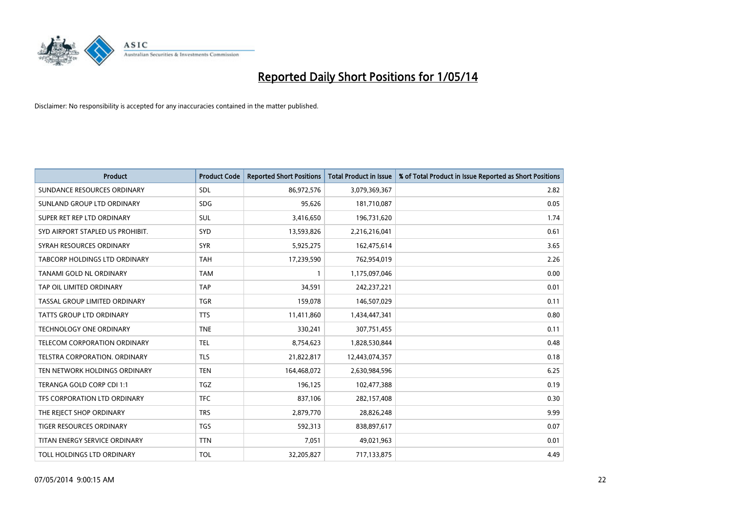

| <b>Product</b>                   | <b>Product Code</b> | <b>Reported Short Positions</b> | <b>Total Product in Issue</b> | % of Total Product in Issue Reported as Short Positions |
|----------------------------------|---------------------|---------------------------------|-------------------------------|---------------------------------------------------------|
| SUNDANCE RESOURCES ORDINARY      | <b>SDL</b>          | 86,972,576                      | 3,079,369,367                 | 2.82                                                    |
| SUNLAND GROUP LTD ORDINARY       | <b>SDG</b>          | 95,626                          | 181,710,087                   | 0.05                                                    |
| SUPER RET REP LTD ORDINARY       | SUL                 | 3,416,650                       | 196,731,620                   | 1.74                                                    |
| SYD AIRPORT STAPLED US PROHIBIT. | SYD                 | 13,593,826                      | 2,216,216,041                 | 0.61                                                    |
| SYRAH RESOURCES ORDINARY         | <b>SYR</b>          | 5,925,275                       | 162,475,614                   | 3.65                                                    |
| TABCORP HOLDINGS LTD ORDINARY    | <b>TAH</b>          | 17,239,590                      | 762,954,019                   | 2.26                                                    |
| TANAMI GOLD NL ORDINARY          | <b>TAM</b>          | -1                              | 1,175,097,046                 | 0.00                                                    |
| TAP OIL LIMITED ORDINARY         | <b>TAP</b>          | 34,591                          | 242,237,221                   | 0.01                                                    |
| TASSAL GROUP LIMITED ORDINARY    | <b>TGR</b>          | 159,078                         | 146,507,029                   | 0.11                                                    |
| <b>TATTS GROUP LTD ORDINARY</b>  | <b>TTS</b>          | 11,411,860                      | 1,434,447,341                 | 0.80                                                    |
| <b>TECHNOLOGY ONE ORDINARY</b>   | <b>TNE</b>          | 330,241                         | 307,751,455                   | 0.11                                                    |
| TELECOM CORPORATION ORDINARY     | <b>TEL</b>          | 8,754,623                       | 1,828,530,844                 | 0.48                                                    |
| TELSTRA CORPORATION, ORDINARY    | <b>TLS</b>          | 21,822,817                      | 12,443,074,357                | 0.18                                                    |
| TEN NETWORK HOLDINGS ORDINARY    | <b>TEN</b>          | 164,468,072                     | 2,630,984,596                 | 6.25                                                    |
| TERANGA GOLD CORP CDI 1:1        | <b>TGZ</b>          | 196,125                         | 102,477,388                   | 0.19                                                    |
| TFS CORPORATION LTD ORDINARY     | <b>TFC</b>          | 837,106                         | 282,157,408                   | 0.30                                                    |
| THE REJECT SHOP ORDINARY         | <b>TRS</b>          | 2,879,770                       | 28,826,248                    | 9.99                                                    |
| TIGER RESOURCES ORDINARY         | <b>TGS</b>          | 592,313                         | 838,897,617                   | 0.07                                                    |
| TITAN ENERGY SERVICE ORDINARY    | <b>TTN</b>          | 7,051                           | 49,021,963                    | 0.01                                                    |
| TOLL HOLDINGS LTD ORDINARY       | <b>TOL</b>          | 32,205,827                      | 717,133,875                   | 4.49                                                    |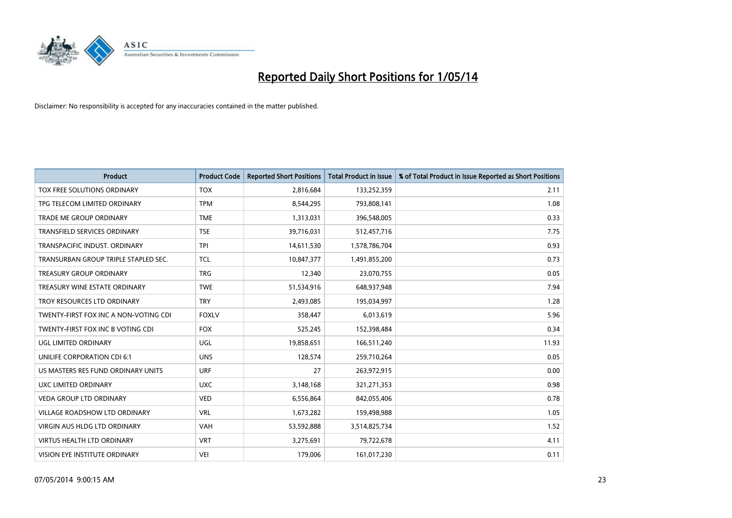

| <b>Product</b>                        | <b>Product Code</b> | <b>Reported Short Positions</b> | <b>Total Product in Issue</b> | % of Total Product in Issue Reported as Short Positions |
|---------------------------------------|---------------------|---------------------------------|-------------------------------|---------------------------------------------------------|
| TOX FREE SOLUTIONS ORDINARY           | <b>TOX</b>          | 2,816,684                       | 133,252,359                   | 2.11                                                    |
| TPG TELECOM LIMITED ORDINARY          | <b>TPM</b>          | 8,544,295                       | 793,808,141                   | 1.08                                                    |
| <b>TRADE ME GROUP ORDINARY</b>        | <b>TME</b>          | 1,313,031                       | 396,548,005                   | 0.33                                                    |
| TRANSFIELD SERVICES ORDINARY          | <b>TSE</b>          | 39,716,031                      | 512,457,716                   | 7.75                                                    |
| TRANSPACIFIC INDUST, ORDINARY         | <b>TPI</b>          | 14,611,530                      | 1,578,786,704                 | 0.93                                                    |
| TRANSURBAN GROUP TRIPLE STAPLED SEC.  | <b>TCL</b>          | 10,847,377                      | 1,491,855,200                 | 0.73                                                    |
| <b>TREASURY GROUP ORDINARY</b>        | <b>TRG</b>          | 12,340                          | 23,070,755                    | 0.05                                                    |
| TREASURY WINE ESTATE ORDINARY         | <b>TWE</b>          | 51,534,916                      | 648,937,948                   | 7.94                                                    |
| TROY RESOURCES LTD ORDINARY           | <b>TRY</b>          | 2,493,085                       | 195,034,997                   | 1.28                                                    |
| TWENTY-FIRST FOX INC A NON-VOTING CDI | <b>FOXLV</b>        | 358,447                         | 6,013,619                     | 5.96                                                    |
| TWENTY-FIRST FOX INC B VOTING CDI     | <b>FOX</b>          | 525,245                         | 152,398,484                   | 0.34                                                    |
| UGL LIMITED ORDINARY                  | UGL                 | 19,858,651                      | 166,511,240                   | 11.93                                                   |
| UNILIFE CORPORATION CDI 6:1           | <b>UNS</b>          | 128,574                         | 259,710,264                   | 0.05                                                    |
| US MASTERS RES FUND ORDINARY UNITS    | <b>URF</b>          | 27                              | 263,972,915                   | 0.00                                                    |
| UXC LIMITED ORDINARY                  | <b>UXC</b>          | 3,148,168                       | 321,271,353                   | 0.98                                                    |
| VEDA GROUP LTD ORDINARY               | <b>VED</b>          | 6,556,864                       | 842,055,406                   | 0.78                                                    |
| VILLAGE ROADSHOW LTD ORDINARY         | <b>VRL</b>          | 1,673,282                       | 159,498,988                   | 1.05                                                    |
| <b>VIRGIN AUS HLDG LTD ORDINARY</b>   | <b>VAH</b>          | 53,592,888                      | 3,514,825,734                 | 1.52                                                    |
| <b>VIRTUS HEALTH LTD ORDINARY</b>     | <b>VRT</b>          | 3,275,691                       | 79,722,678                    | 4.11                                                    |
| VISION EYE INSTITUTE ORDINARY         | <b>VEI</b>          | 179,006                         | 161,017,230                   | 0.11                                                    |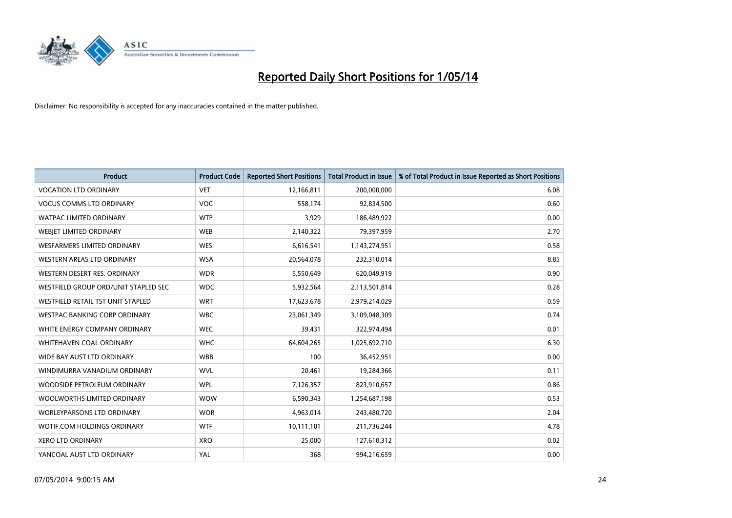

| <b>Product</b>                       | <b>Product Code</b> | <b>Reported Short Positions</b> | <b>Total Product in Issue</b> | % of Total Product in Issue Reported as Short Positions |
|--------------------------------------|---------------------|---------------------------------|-------------------------------|---------------------------------------------------------|
| <b>VOCATION LTD ORDINARY</b>         | <b>VET</b>          | 12,166,811                      | 200,000,000                   | 6.08                                                    |
| <b>VOCUS COMMS LTD ORDINARY</b>      | VOC                 | 558,174                         | 92,834,500                    | 0.60                                                    |
| <b>WATPAC LIMITED ORDINARY</b>       | <b>WTP</b>          | 3,929                           | 186,489,922                   | 0.00                                                    |
| WEBJET LIMITED ORDINARY              | <b>WEB</b>          | 2,140,322                       | 79,397,959                    | 2.70                                                    |
| <b>WESFARMERS LIMITED ORDINARY</b>   | <b>WES</b>          | 6,616,541                       | 1,143,274,951                 | 0.58                                                    |
| <b>WESTERN AREAS LTD ORDINARY</b>    | <b>WSA</b>          | 20,564,078                      | 232,310,014                   | 8.85                                                    |
| WESTERN DESERT RES. ORDINARY         | <b>WDR</b>          | 5,550,649                       | 620,049,919                   | 0.90                                                    |
| WESTFIELD GROUP ORD/UNIT STAPLED SEC | <b>WDC</b>          | 5,932,564                       | 2,113,501,814                 | 0.28                                                    |
| WESTFIELD RETAIL TST UNIT STAPLED    | <b>WRT</b>          | 17,623,678                      | 2,979,214,029                 | 0.59                                                    |
| WESTPAC BANKING CORP ORDINARY        | <b>WBC</b>          | 23,061,349                      | 3,109,048,309                 | 0.74                                                    |
| WHITE ENERGY COMPANY ORDINARY        | <b>WEC</b>          | 39,431                          | 322,974,494                   | 0.01                                                    |
| <b>WHITEHAVEN COAL ORDINARY</b>      | <b>WHC</b>          | 64,604,265                      | 1,025,692,710                 | 6.30                                                    |
| WIDE BAY AUST LTD ORDINARY           | <b>WBB</b>          | 100                             | 36,452,951                    | 0.00                                                    |
| WINDIMURRA VANADIUM ORDINARY         | <b>WVL</b>          | 20,461                          | 19,284,366                    | 0.11                                                    |
| WOODSIDE PETROLEUM ORDINARY          | <b>WPL</b>          | 7,126,357                       | 823,910,657                   | 0.86                                                    |
| WOOLWORTHS LIMITED ORDINARY          | <b>WOW</b>          | 6,590,343                       | 1,254,687,198                 | 0.53                                                    |
| WORLEYPARSONS LTD ORDINARY           | <b>WOR</b>          | 4,963,014                       | 243,480,720                   | 2.04                                                    |
| WOTIF.COM HOLDINGS ORDINARY          | <b>WTF</b>          | 10,111,101                      | 211,736,244                   | 4.78                                                    |
| <b>XERO LTD ORDINARY</b>             | <b>XRO</b>          | 25,000                          | 127,610,312                   | 0.02                                                    |
| YANCOAL AUST LTD ORDINARY            | YAL                 | 368                             | 994,216,659                   | 0.00                                                    |